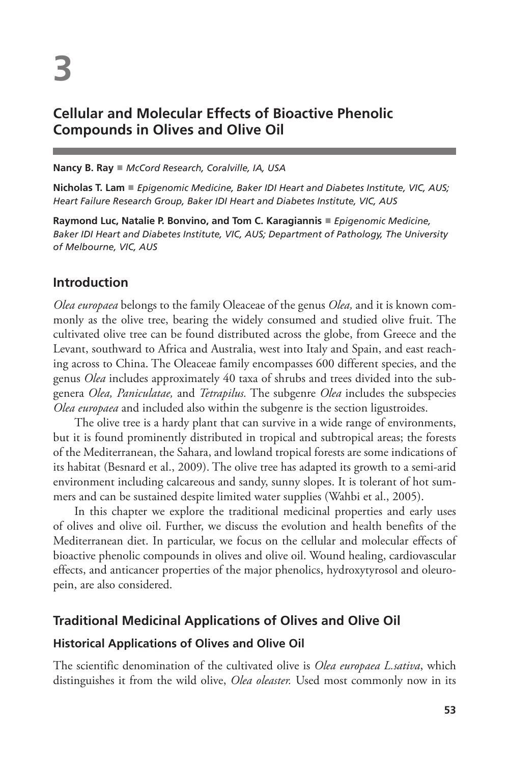# **Cellular and Molecular Effects of Bioactive Phenolic Compounds in Olives and Olive Oil**

#### **Nancy B. Ray** ■ *McCord Research, Coralville, IA, USA*

**Nicholas T. Lam** ■ *Epigenomic Medicine, Baker IDI Heart and Diabetes Institute, VIC, AUS; Heart Failure Research Group, Baker IDI Heart and Diabetes Institute, VIC, AUS*

**Raymond Luc, Natalie P. Bonvino, and Tom C. Karagiannis** ■ *Epigenomic Medicine, Baker IDI Heart and Diabetes Institute, VIC, AUS; Department of Pathology, The University of Melbourne, VIC, AUS*

# **Introduction**

*Olea europaea* belongs to the family Oleaceae of the genus *Olea,* and it is known commonly as the olive tree, bearing the widely consumed and studied olive fruit. The cultivated olive tree can be found distributed across the globe, from Greece and the Levant, southward to Africa and Australia, west into Italy and Spain, and east reaching across to China. The Oleaceae family encompasses 600 different species, and the genus *Olea* includes approximately 40 taxa of shrubs and trees divided into the subgenera *Olea, Paniculatae,* and *Tetrapilus.* The subgenre *Olea* includes the subspecies *Olea europaea* and included also within the subgenre is the section ligustroides.

The olive tree is a hardy plant that can survive in a wide range of environments, but it is found prominently distributed in tropical and subtropical areas; the forests of the Mediterranean, the Sahara, and lowland tropical forests are some indications of its habitat (Besnard et al., 2009). The olive tree has adapted its growth to a semi-arid environment including calcareous and sandy, sunny slopes. It is tolerant of hot summers and can be sustained despite limited water supplies (Wahbi et al., 2005).

In this chapter we explore the traditional medicinal properties and early uses of olives and olive oil. Further, we discuss the evolution and health benefits of the Mediterranean diet. In particular, we focus on the cellular and molecular effects of bioactive phenolic compounds in olives and olive oil. Wound healing, cardiovascular effects, and anticancer properties of the major phenolics, hydroxytyrosol and oleuropein, are also considered.

# **Traditional Medicinal Applications of Olives and Olive Oil**

### **Historical Applications of Olives and Olive Oil**

The scientific denomination of the cultivated olive is *Olea europaea L.sativa*, which distinguishes it from the wild olive, *Olea oleaster.* Used most commonly now in its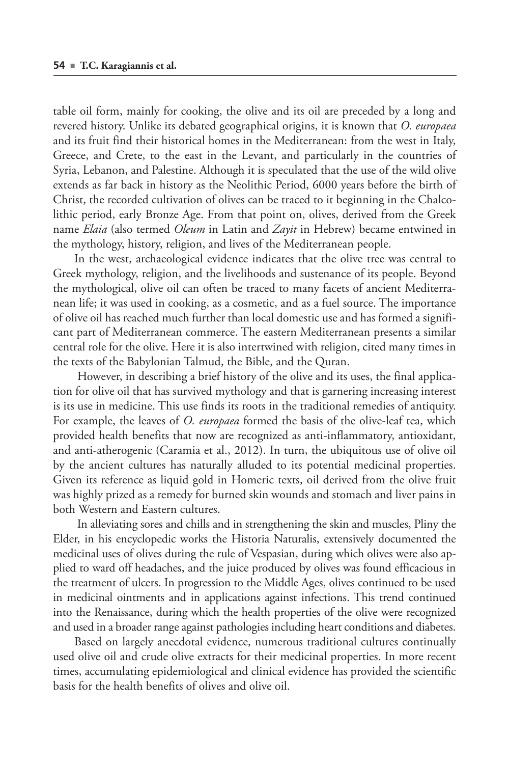table oil form, mainly for cooking, the olive and its oil are preceded by a long and revered history. Unlike its debated geographical origins, it is known that *O. europaea*  and its fruit find their historical homes in the Mediterranean: from the west in Italy, Greece, and Crete, to the east in the Levant, and particularly in the countries of Syria, Lebanon, and Palestine. Although it is speculated that the use of the wild olive extends as far back in history as the Neolithic Period, 6000 years before the birth of Christ, the recorded cultivation of olives can be traced to it beginning in the Chalcolithic period, early Bronze Age. From that point on, olives, derived from the Greek name *Elaia* (also termed *Oleum* in Latin and *Zayit* in Hebrew) became entwined in the mythology, history, religion, and lives of the Mediterranean people.

In the west, archaeological evidence indicates that the olive tree was central to Greek mythology, religion, and the livelihoods and sustenance of its people. Beyond the mythological, olive oil can often be traced to many facets of ancient Mediterranean life; it was used in cooking, as a cosmetic, and as a fuel source. The importance of olive oil has reached much further than local domestic use and has formed a significant part of Mediterranean commerce. The eastern Mediterranean presents a similar central role for the olive. Here it is also intertwined with religion, cited many times in the texts of the Babylonian Talmud, the Bible, and the Quran.

 However, in describing a brief history of the olive and its uses, the final application for olive oil that has survived mythology and that is garnering increasing interest is its use in medicine. This use finds its roots in the traditional remedies of antiquity. For example, the leaves of *O. europaea* formed the basis of the olive-leaf tea, which provided health benefits that now are recognized as anti-inflammatory, antioxidant, and anti-atherogenic (Caramia et al., 2012). In turn, the ubiquitous use of olive oil by the ancient cultures has naturally alluded to its potential medicinal properties. Given its reference as liquid gold in Homeric texts, oil derived from the olive fruit was highly prized as a remedy for burned skin wounds and stomach and liver pains in both Western and Eastern cultures.

 In alleviating sores and chills and in strengthening the skin and muscles, Pliny the Elder, in his encyclopedic works the Historia Naturalis, extensively documented the medicinal uses of olives during the rule of Vespasian, during which olives were also applied to ward off headaches, and the juice produced by olives was found efficacious in the treatment of ulcers. In progression to the Middle Ages, olives continued to be used in medicinal ointments and in applications against infections. This trend continued into the Renaissance, during which the health properties of the olive were recognized and used in a broader range against pathologies including heart conditions and diabetes.

Based on largely anecdotal evidence, numerous traditional cultures continually used olive oil and crude olive extracts for their medicinal properties. In more recent times, accumulating epidemiological and clinical evidence has provided the scientific basis for the health benefits of olives and olive oil.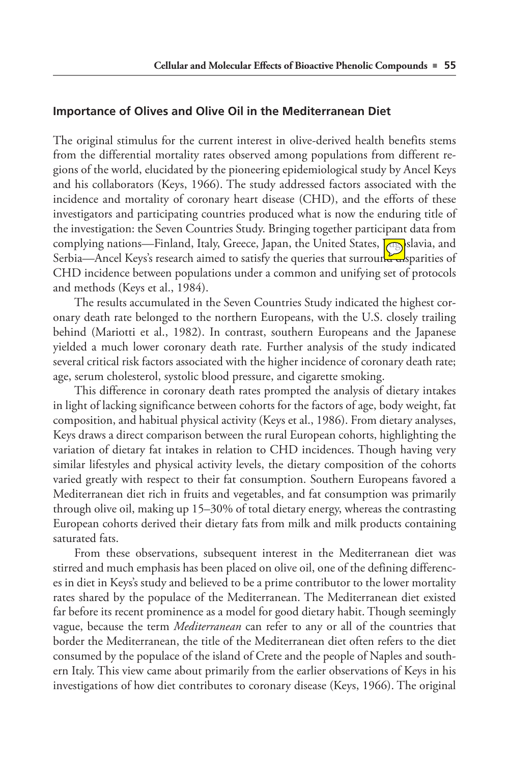#### **Importance of Olives and Olive Oil in the Mediterranean Diet**

The original stimulus for the current interest in olive-derived health benefits stems from the differential mortality rates observed among populations from different regions of the world, elucidated by the pioneering epidemiological study by Ancel Keys and his collaborators (Keys, 1966). The study addressed factors associated with the incidence and mortality of coronary heart disease (CHD), and the efforts of these investigators and participating countries produced what is now the enduring title of the investigation: the Seven Countries Study. Bringing together participant data from complying nations—Finland, Italy, Greece, Japan, the United States,  $\sqrt{ap}$ slavia, and Serbia—Ancel Keys's research aimed to satisfy the queries that surround as parities of CHD incidence between populations under a common and unifying set of protocols and methods (Keys et al., 1984).

The results accumulated in the Seven Countries Study indicated the highest coronary death rate belonged to the northern Europeans, with the U.S. closely trailing behind (Mariotti et al., 1982). In contrast, southern Europeans and the Japanese yielded a much lower coronary death rate. Further analysis of the study indicated several critical risk factors associated with the higher incidence of coronary death rate; age, serum cholesterol, systolic blood pressure, and cigarette smoking.

This difference in coronary death rates prompted the analysis of dietary intakes in light of lacking significance between cohorts for the factors of age, body weight, fat composition, and habitual physical activity (Keys et al., 1986). From dietary analyses, Keys draws a direct comparison between the rural European cohorts, highlighting the variation of dietary fat intakes in relation to CHD incidences. Though having very similar lifestyles and physical activity levels, the dietary composition of the cohorts varied greatly with respect to their fat consumption. Southern Europeans favored a Mediterranean diet rich in fruits and vegetables, and fat consumption was primarily through olive oil, making up 15–30% of total dietary energy, whereas the contrasting European cohorts derived their dietary fats from milk and milk products containing saturated fats.

From these observations, subsequent interest in the Mediterranean diet was stirred and much emphasis has been placed on olive oil, one of the defining differences in diet in Keys's study and believed to be a prime contributor to the lower mortality rates shared by the populace of the Mediterranean. The Mediterranean diet existed far before its recent prominence as a model for good dietary habit. Though seemingly vague, because the term *Mediterranean* can refer to any or all of the countries that border the Mediterranean, the title of the Mediterranean diet often refers to the diet consumed by the populace of the island of Crete and the people of Naples and southern Italy. This view came about primarily from the earlier observations of Keys in his investigations of how diet contributes to coronary disease (Keys, 1966). The original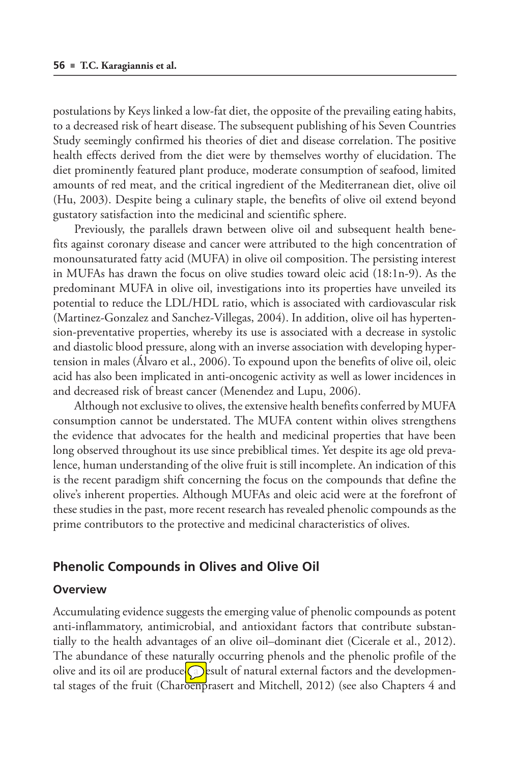postulations by Keys linked a low-fat diet, the opposite of the prevailing eating habits, to a decreased risk of heart disease. The subsequent publishing of his Seven Countries Study seemingly confirmed his theories of diet and disease correlation. The positive health effects derived from the diet were by themselves worthy of elucidation. The diet prominently featured plant produce, moderate consumption of seafood, limited amounts of red meat, and the critical ingredient of the Mediterranean diet, olive oil (Hu, 2003). Despite being a culinary staple, the benefits of olive oil extend beyond gustatory satisfaction into the medicinal and scientific sphere.

Previously, the parallels drawn between olive oil and subsequent health benefits against coronary disease and cancer were attributed to the high concentration of monounsaturated fatty acid (MUFA) in olive oil composition. The persisting interest in MUFAs has drawn the focus on olive studies toward oleic acid (18:1n-9). As the predominant MUFA in olive oil, investigations into its properties have unveiled its potential to reduce the LDL/HDL ratio, which is associated with cardiovascular risk (Martinez-Gonzalez and Sanchez-Villegas, 2004). In addition, olive oil has hypertension-preventative properties, whereby its use is associated with a decrease in systolic and diastolic blood pressure, along with an inverse association with developing hypertension in males (Álvaro et al., 2006). To expound upon the benefits of olive oil, oleic acid has also been implicated in anti-oncogenic activity as well as lower incidences in and decreased risk of breast cancer (Menendez and Lupu, 2006).

Although not exclusive to olives, the extensive health benefits conferred by MUFA consumption cannot be understated. The MUFA content within olives strengthens the evidence that advocates for the health and medicinal properties that have been long observed throughout its use since prebiblical times. Yet despite its age old prevalence, human understanding of the olive fruit is still incomplete. An indication of this is the recent paradigm shift concerning the focus on the compounds that define the olive's inherent properties. Although MUFAs and oleic acid were at the forefront of these studies in the past, more recent research has revealed phenolic compounds as the prime contributors to the protective and medicinal characteristics of olives.

## **Phenolic Compounds in Olives and Olive Oil**

### **Overview**

Accumulating evidence suggests the emerging value of phenolic compounds as potent anti-inflammatory, antimicrobial, and antioxidant factors that contribute substantially to the health advantages of an olive oil–dominant diet (Cicerale et al., 2012). The abundance of these naturally occurring phenols and the phenolic profile of the olive and its oil are produce  $\odot$  sult of natural external factors and the developmental stages of the fruit (Charoenprasert and Mitchell, 2012) (see also Chapters 4 and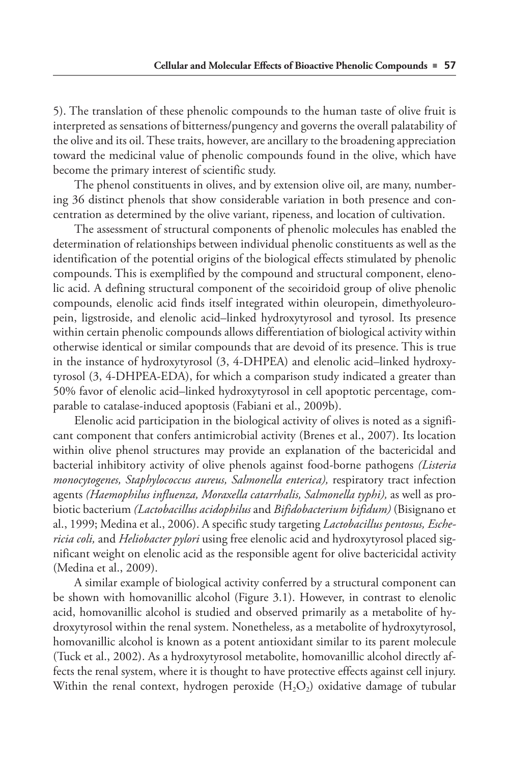5). The translation of these phenolic compounds to the human taste of olive fruit is interpreted as sensations of bitterness/pungency and governs the overall palatability of the olive and its oil. These traits, however, are ancillary to the broadening appreciation toward the medicinal value of phenolic compounds found in the olive, which have become the primary interest of scientific study.

The phenol constituents in olives, and by extension olive oil, are many, numbering 36 distinct phenols that show considerable variation in both presence and concentration as determined by the olive variant, ripeness, and location of cultivation.

The assessment of structural components of phenolic molecules has enabled the determination of relationships between individual phenolic constituents as well as the identification of the potential origins of the biological effects stimulated by phenolic compounds. This is exemplified by the compound and structural component, elenolic acid. A defining structural component of the secoiridoid group of olive phenolic compounds, elenolic acid finds itself integrated within oleuropein, dimethyoleuropein, ligstroside, and elenolic acid–linked hydroxytyrosol and tyrosol. Its presence within certain phenolic compounds allows differentiation of biological activity within otherwise identical or similar compounds that are devoid of its presence. This is true in the instance of hydroxytyrosol (3, 4-DHPEA) and elenolic acid–linked hydroxytyrosol (3, 4-DHPEA-EDA), for which a comparison study indicated a greater than 50% favor of elenolic acid–linked hydroxytyrosol in cell apoptotic percentage, comparable to catalase-induced apoptosis (Fabiani et al., 2009b).

Elenolic acid participation in the biological activity of olives is noted as a significant component that confers antimicrobial activity (Brenes et al., 2007). Its location within olive phenol structures may provide an explanation of the bactericidal and bacterial inhibitory activity of olive phenols against food-borne pathogens *(Listeria monocytogenes, Staphylococcus aureus, Salmonella enterica),* respiratory tract infection agents *(Haemophilus influenza, Moraxella catarrhalis, Salmonella typhi),* as well as probiotic bacterium *(Lactobacillus acidophilus* and *Bifidobacterium bifidum)* (Bisignano et al., 1999; Medina et al., 2006). A specific study targeting *Lactobacillus pentosus, Eschericia coli,* and *Heliobacter pylori* using free elenolic acid and hydroxytyrosol placed significant weight on elenolic acid as the responsible agent for olive bactericidal activity (Medina et al., 2009).

A similar example of biological activity conferred by a structural component can be shown with homovanillic alcohol (Figure 3.1). However, in contrast to elenolic acid, homovanillic alcohol is studied and observed primarily as a metabolite of hydroxytyrosol within the renal system. Nonetheless, as a metabolite of hydroxytyrosol, homovanillic alcohol is known as a potent antioxidant similar to its parent molecule (Tuck et al., 2002). As a hydroxytyrosol metabolite, homovanillic alcohol directly affects the renal system, where it is thought to have protective effects against cell injury. Within the renal context, hydrogen peroxide  $(H_2O_2)$  oxidative damage of tubular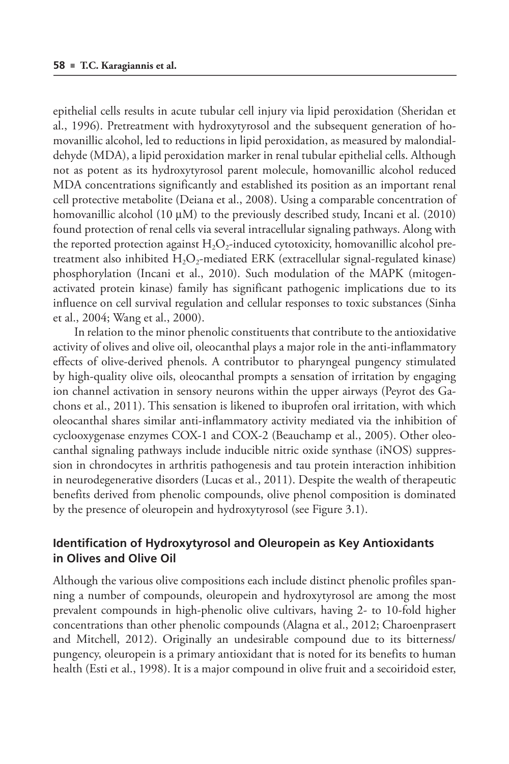epithelial cells results in acute tubular cell injury via lipid peroxidation (Sheridan et al., 1996). Pretreatment with hydroxytyrosol and the subsequent generation of homovanillic alcohol, led to reductions in lipid peroxidation, as measured by malondialdehyde (MDA), a lipid peroxidation marker in renal tubular epithelial cells. Although not as potent as its hydroxytyrosol parent molecule, homovanillic alcohol reduced MDA concentrations significantly and established its position as an important renal cell protective metabolite (Deiana et al., 2008). Using a comparable concentration of homovanillic alcohol (10 µM) to the previously described study, Incani et al. (2010) found protection of renal cells via several intracellular signaling pathways. Along with the reported protection against  $H_2O_2$ -induced cytotoxicity, homovanillic alcohol pretreatment also inhibited  $H_2O_2$ -mediated ERK (extracellular signal-regulated kinase) phosphorylation (Incani et al., 2010). Such modulation of the MAPK (mitogenactivated protein kinase) family has significant pathogenic implications due to its influence on cell survival regulation and cellular responses to toxic substances (Sinha et al., 2004; Wang et al., 2000).

In relation to the minor phenolic constituents that contribute to the antioxidative activity of olives and olive oil, oleocanthal plays a major role in the anti-inflammatory effects of olive-derived phenols. A contributor to pharyngeal pungency stimulated by high-quality olive oils, oleocanthal prompts a sensation of irritation by engaging ion channel activation in sensory neurons within the upper airways (Peyrot des Gachons et al., 2011). This sensation is likened to ibuprofen oral irritation, with which oleocanthal shares similar anti-inflammatory activity mediated via the inhibition of cyclooxygenase enzymes COX-1 and COX-2 (Beauchamp et al., 2005). Other oleocanthal signaling pathways include inducible nitric oxide synthase (iNOS) suppression in chrondocytes in arthritis pathogenesis and tau protein interaction inhibition in neurodegenerative disorders (Lucas et al., 2011). Despite the wealth of therapeutic benefits derived from phenolic compounds, olive phenol composition is dominated by the presence of oleuropein and hydroxytyrosol (see Figure 3.1).

## **Identification of Hydroxytyrosol and Oleuropein as Key Antioxidants in Olives and Olive Oil**

Although the various olive compositions each include distinct phenolic profiles spanning a number of compounds, oleuropein and hydroxytyrosol are among the most prevalent compounds in high-phenolic olive cultivars, having 2- to 10-fold higher concentrations than other phenolic compounds (Alagna et al., 2012; Charoenprasert and Mitchell, 2012). Originally an undesirable compound due to its bitterness/ pungency, oleuropein is a primary antioxidant that is noted for its benefits to human health (Esti et al., 1998). It is a major compound in olive fruit and a secoiridoid ester,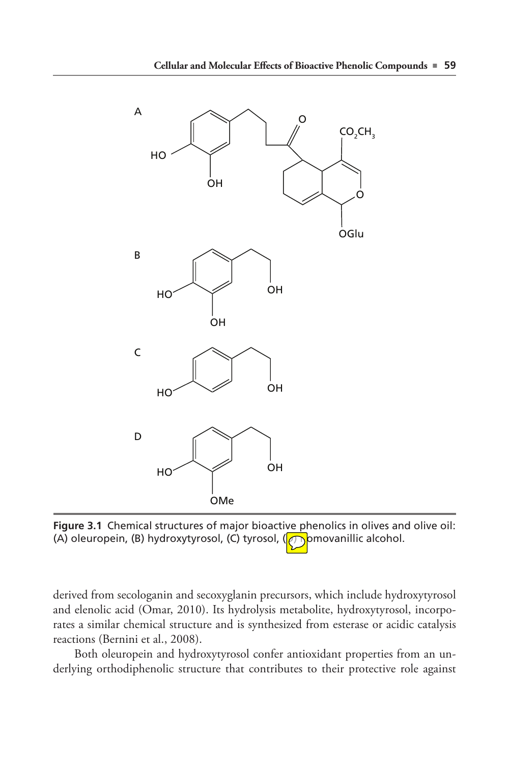

**Figure 3.1** Chemical structures of major bioactive phenolics in olives and olive oil: (A) oleuropein, (B) hydroxytyrosol, (C) tyrosol,  $(\sqrt{D})$ omovanillic alcohol.

derived from secologanin and secoxyglanin precursors, which include hydroxytyrosol and elenolic acid (Omar, 2010). Its hydrolysis metabolite, hydroxytyrosol, incorporates a similar chemical structure and is synthesized from esterase or acidic catalysis reactions (Bernini et al., 2008).

Both oleuropein and hydroxytyrosol confer antioxidant properties from an underlying orthodiphenolic structure that contributes to their protective role against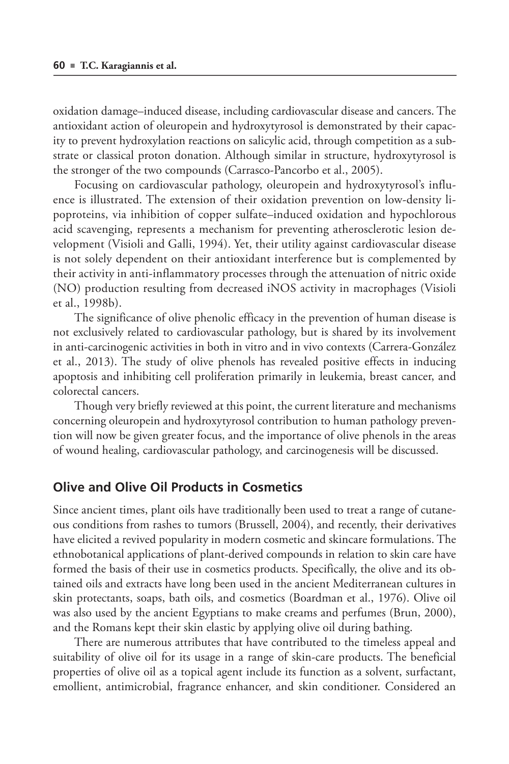oxidation damage–induced disease, including cardiovascular disease and cancers. The antioxidant action of oleuropein and hydroxytyrosol is demonstrated by their capacity to prevent hydroxylation reactions on salicylic acid, through competition as a substrate or classical proton donation. Although similar in structure, hydroxytyrosol is the stronger of the two compounds (Carrasco-Pancorbo et al., 2005).

Focusing on cardiovascular pathology, oleuropein and hydroxytyrosol's influence is illustrated. The extension of their oxidation prevention on low-density lipoproteins, via inhibition of copper sulfate–induced oxidation and hypochlorous acid scavenging, represents a mechanism for preventing atherosclerotic lesion development (Visioli and Galli, 1994). Yet, their utility against cardiovascular disease is not solely dependent on their antioxidant interference but is complemented by their activity in anti-inflammatory processes through the attenuation of nitric oxide (NO) production resulting from decreased iNOS activity in macrophages (Visioli et al., 1998b).

The significance of olive phenolic efficacy in the prevention of human disease is not exclusively related to cardiovascular pathology, but is shared by its involvement in anti-carcinogenic activities in both in vitro and in vivo contexts (Carrera-González et al., 2013). The study of olive phenols has revealed positive effects in inducing apoptosis and inhibiting cell proliferation primarily in leukemia, breast cancer, and colorectal cancers.

Though very briefly reviewed at this point, the current literature and mechanisms concerning oleuropein and hydroxytyrosol contribution to human pathology prevention will now be given greater focus, and the importance of olive phenols in the areas of wound healing, cardiovascular pathology, and carcinogenesis will be discussed.

## **Olive and Olive Oil Products in Cosmetics**

Since ancient times, plant oils have traditionally been used to treat a range of cutaneous conditions from rashes to tumors (Brussell, 2004), and recently, their derivatives have elicited a revived popularity in modern cosmetic and skincare formulations. The ethnobotanical applications of plant-derived compounds in relation to skin care have formed the basis of their use in cosmetics products. Specifically, the olive and its obtained oils and extracts have long been used in the ancient Mediterranean cultures in skin protectants, soaps, bath oils, and cosmetics (Boardman et al., 1976). Olive oil was also used by the ancient Egyptians to make creams and perfumes (Brun, 2000), and the Romans kept their skin elastic by applying olive oil during bathing.

There are numerous attributes that have contributed to the timeless appeal and suitability of olive oil for its usage in a range of skin-care products. The beneficial properties of olive oil as a topical agent include its function as a solvent, surfactant, emollient, antimicrobial, fragrance enhancer, and skin conditioner. Considered an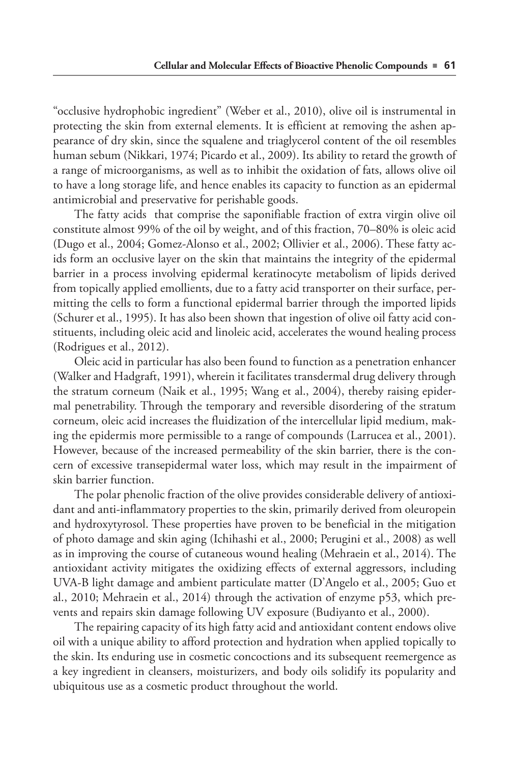"occlusive hydrophobic ingredient" (Weber et al., 2010), olive oil is instrumental in protecting the skin from external elements. It is efficient at removing the ashen appearance of dry skin, since the squalene and triaglycerol content of the oil resembles human sebum (Nikkari, 1974; Picardo et al., 2009). Its ability to retard the growth of a range of microorganisms, as well as to inhibit the oxidation of fats, allows olive oil to have a long storage life, and hence enables its capacity to function as an epidermal antimicrobial and preservative for perishable goods.

The fatty acids that comprise the saponifiable fraction of extra virgin olive oil constitute almost 99% of the oil by weight, and of this fraction, 70–80% is oleic acid (Dugo et al., 2004; Gomez-Alonso et al., 2002; Ollivier et al., 2006). These fatty acids form an occlusive layer on the skin that maintains the integrity of the epidermal barrier in a process involving epidermal keratinocyte metabolism of lipids derived from topically applied emollients, due to a fatty acid transporter on their surface, permitting the cells to form a functional epidermal barrier through the imported lipids (Schurer et al., 1995). It has also been shown that ingestion of olive oil fatty acid constituents, including oleic acid and linoleic acid, accelerates the wound healing process (Rodrigues et al., 2012).

Oleic acid in particular has also been found to function as a penetration enhancer (Walker and Hadgraft, 1991), wherein it facilitates transdermal drug delivery through the stratum corneum (Naik et al., 1995; Wang et al., 2004), thereby raising epidermal penetrability. Through the temporary and reversible disordering of the stratum corneum, oleic acid increases the fluidization of the intercellular lipid medium, making the epidermis more permissible to a range of compounds (Larrucea et al., 2001). However, because of the increased permeability of the skin barrier, there is the concern of excessive transepidermal water loss, which may result in the impairment of skin barrier function.

The polar phenolic fraction of the olive provides considerable delivery of antioxidant and anti-inflammatory properties to the skin, primarily derived from oleuropein and hydroxytyrosol. These properties have proven to be beneficial in the mitigation of photo damage and skin aging (Ichihashi et al., 2000; Perugini et al., 2008) as well as in improving the course of cutaneous wound healing (Mehraein et al., 2014). The antioxidant activity mitigates the oxidizing effects of external aggressors, including UVA-B light damage and ambient particulate matter (D'Angelo et al., 2005; Guo et al., 2010; Mehraein et al., 2014) through the activation of enzyme p53, which prevents and repairs skin damage following UV exposure (Budiyanto et al., 2000).

The repairing capacity of its high fatty acid and antioxidant content endows olive oil with a unique ability to afford protection and hydration when applied topically to the skin. Its enduring use in cosmetic concoctions and its subsequent reemergence as a key ingredient in cleansers, moisturizers, and body oils solidify its popularity and ubiquitous use as a cosmetic product throughout the world.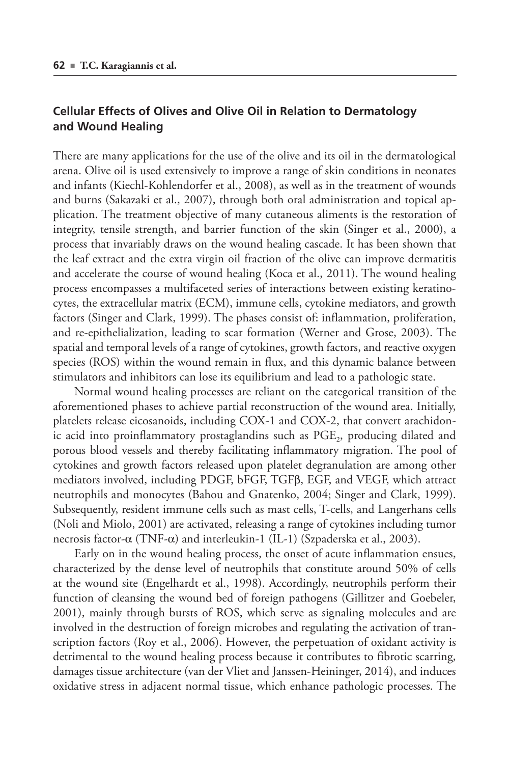# **Cellular Effects of Olives and Olive Oil in Relation to Dermatology and Wound Healing**

There are many applications for the use of the olive and its oil in the dermatological arena. Olive oil is used extensively to improve a range of skin conditions in neonates and infants (Kiechl-Kohlendorfer et al., 2008), as well as in the treatment of wounds and burns (Sakazaki et al., 2007), through both oral administration and topical application. The treatment objective of many cutaneous aliments is the restoration of integrity, tensile strength, and barrier function of the skin (Singer et al., 2000), a process that invariably draws on the wound healing cascade. It has been shown that the leaf extract and the extra virgin oil fraction of the olive can improve dermatitis and accelerate the course of wound healing (Koca et al., 2011). The wound healing process encompasses a multifaceted series of interactions between existing keratinocytes, the extracellular matrix (ECM), immune cells, cytokine mediators, and growth factors (Singer and Clark, 1999). The phases consist of: inflammation, proliferation, and re-epithelialization, leading to scar formation (Werner and Grose, 2003). The spatial and temporal levels of a range of cytokines, growth factors, and reactive oxygen species (ROS) within the wound remain in flux, and this dynamic balance between stimulators and inhibitors can lose its equilibrium and lead to a pathologic state.

Normal wound healing processes are reliant on the categorical transition of the aforementioned phases to achieve partial reconstruction of the wound area. Initially, platelets release eicosanoids, including COX-1 and COX-2, that convert arachidonic acid into proinflammatory prostaglandins such as  $PGE<sub>2</sub>$ , producing dilated and porous blood vessels and thereby facilitating inflammatory migration. The pool of cytokines and growth factors released upon platelet degranulation are among other mediators involved, including PDGF, bFGF, TGFβ, EGF, and VEGF, which attract neutrophils and monocytes (Bahou and Gnatenko, 2004; Singer and Clark, 1999). Subsequently, resident immune cells such as mast cells, T-cells, and Langerhans cells (Noli and Miolo, 2001) are activated, releasing a range of cytokines including tumor necrosis factor-α (TNF-α) and interleukin-1 (IL-1) (Szpaderska et al., 2003).

Early on in the wound healing process, the onset of acute inflammation ensues, characterized by the dense level of neutrophils that constitute around 50% of cells at the wound site (Engelhardt et al., 1998). Accordingly, neutrophils perform their function of cleansing the wound bed of foreign pathogens (Gillitzer and Goebeler, 2001), mainly through bursts of ROS, which serve as signaling molecules and are involved in the destruction of foreign microbes and regulating the activation of transcription factors (Roy et al., 2006). However, the perpetuation of oxidant activity is detrimental to the wound healing process because it contributes to fibrotic scarring, damages tissue architecture (van der Vliet and Janssen-Heininger, 2014), and induces oxidative stress in adjacent normal tissue, which enhance pathologic processes. The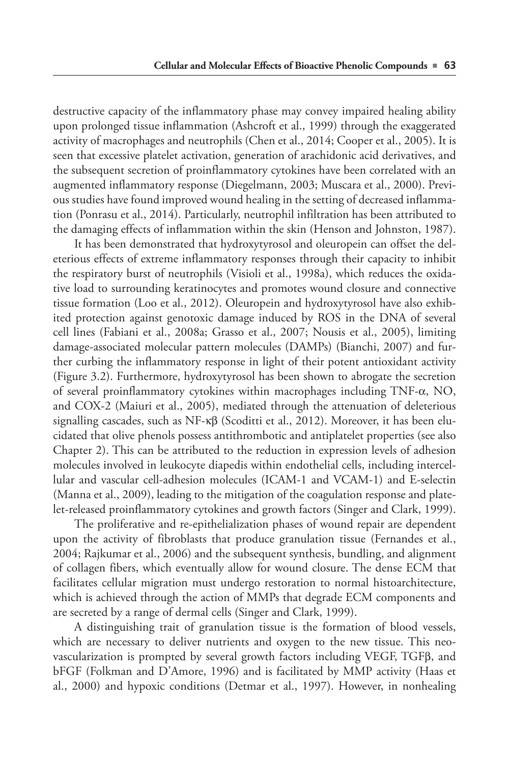destructive capacity of the inflammatory phase may convey impaired healing ability upon prolonged tissue inflammation (Ashcroft et al., 1999) through the exaggerated activity of macrophages and neutrophils (Chen et al., 2014; Cooper et al., 2005). It is seen that excessive platelet activation, generation of arachidonic acid derivatives, and the subsequent secretion of proinflammatory cytokines have been correlated with an augmented inflammatory response (Diegelmann, 2003; Muscara et al., 2000). Previous studies have found improved wound healing in the setting of decreased inflammation (Ponrasu et al., 2014). Particularly, neutrophil infiltration has been attributed to the damaging effects of inflammation within the skin (Henson and Johnston, 1987).

It has been demonstrated that hydroxytyrosol and oleuropein can offset the deleterious effects of extreme inflammatory responses through their capacity to inhibit the respiratory burst of neutrophils (Visioli et al., 1998a), which reduces the oxidative load to surrounding keratinocytes and promotes wound closure and connective tissue formation (Loo et al., 2012). Oleuropein and hydroxytyrosol have also exhibited protection against genotoxic damage induced by ROS in the DNA of several cell lines (Fabiani et al., 2008a; Grasso et al., 2007; Nousis et al., 2005), limiting damage-associated molecular pattern molecules (DAMPs) (Bianchi, 2007) and further curbing the inflammatory response in light of their potent antioxidant activity (Figure 3.2). Furthermore, hydroxytyrosol has been shown to abrogate the secretion of several proinflammatory cytokines within macrophages including TNF-α, NO, and COX-2 (Maiuri et al., 2005), mediated through the attenuation of deleterious signalling cascades, such as NF-κβ (Scoditti et al., 2012). Moreover, it has been elucidated that olive phenols possess antithrombotic and antiplatelet properties (see also Chapter 2). This can be attributed to the reduction in expression levels of adhesion molecules involved in leukocyte diapedis within endothelial cells, including intercellular and vascular cell-adhesion molecules (ICAM-1 and VCAM-1) and E-selectin (Manna et al., 2009), leading to the mitigation of the coagulation response and platelet-released proinflammatory cytokines and growth factors (Singer and Clark, 1999).

The proliferative and re-epithelialization phases of wound repair are dependent upon the activity of fibroblasts that produce granulation tissue (Fernandes et al., 2004; Rajkumar et al., 2006) and the subsequent synthesis, bundling, and alignment of collagen fibers, which eventually allow for wound closure. The dense ECM that facilitates cellular migration must undergo restoration to normal histoarchitecture, which is achieved through the action of MMPs that degrade ECM components and are secreted by a range of dermal cells (Singer and Clark, 1999).

A distinguishing trait of granulation tissue is the formation of blood vessels, which are necessary to deliver nutrients and oxygen to the new tissue. This neovascularization is prompted by several growth factors including VEGF, TGFβ, and bFGF (Folkman and D'Amore, 1996) and is facilitated by MMP activity (Haas et al., 2000) and hypoxic conditions (Detmar et al., 1997). However, in nonhealing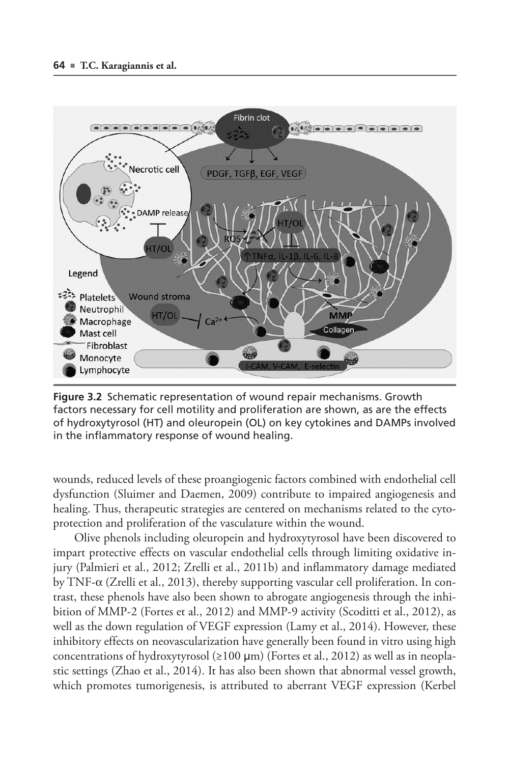

**Figure 3.2** Schematic representation of wound repair mechanisms. Growth factors necessary for cell motility and proliferation are shown, as are the effects of hydroxytyrosol (HT) and oleuropein (OL) on key cytokines and DAMPs involved in the inflammatory response of wound healing.

wounds, reduced levels of these proangiogenic factors combined with endothelial cell dysfunction (Sluimer and Daemen, 2009) contribute to impaired angiogenesis and healing. Thus, therapeutic strategies are centered on mechanisms related to the cytoprotection and proliferation of the vasculature within the wound.

Olive phenols including oleuropein and hydroxytyrosol have been discovered to impart protective effects on vascular endothelial cells through limiting oxidative injury (Palmieri et al., 2012; Zrelli et al., 2011b) and inflammatory damage mediated by TNF-α (Zrelli et al., 2013), thereby supporting vascular cell proliferation. In contrast, these phenols have also been shown to abrogate angiogenesis through the inhibition of MMP-2 (Fortes et al., 2012) and MMP-9 activity (Scoditti et al., 2012), as well as the down regulation of VEGF expression (Lamy et al., 2014). However, these inhibitory effects on neovascularization have generally been found in vitro using high concentrations of hydroxytyrosol ( $\geq 100 \,\mu$ m) (Fortes et al., 2012) as well as in neoplastic settings (Zhao et al., 2014). It has also been shown that abnormal vessel growth, which promotes tumorigenesis, is attributed to aberrant VEGF expression (Kerbel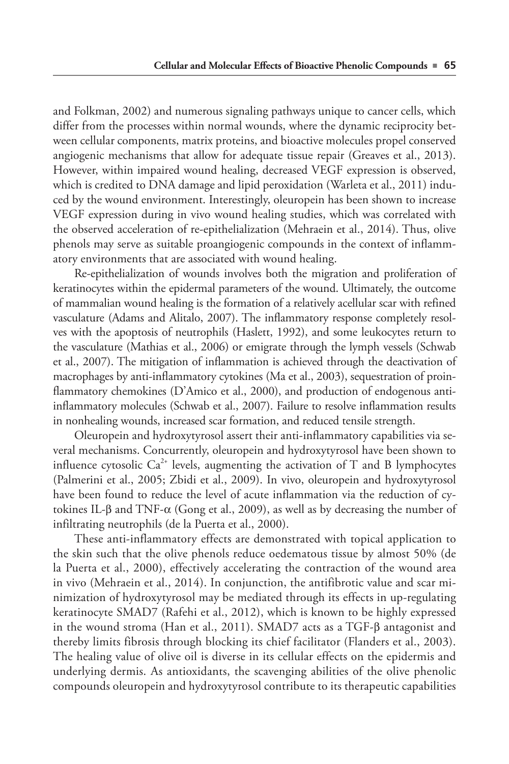and Folkman, 2002) and numerous signaling pathways unique to cancer cells, which differ from the processes within normal wounds, where the dynamic reciprocity between cellular components, matrix proteins, and bioactive molecules propel conserved angiogenic mechanisms that allow for adequate tissue repair (Greaves et al., 2013). However, within impaired wound healing, decreased VEGF expression is observed, which is credited to DNA damage and lipid peroxidation (Warleta et al., 2011) induced by the wound environment. Interestingly, oleuropein has been shown to increase VEGF expression during in vivo wound healing studies, which was correlated with the observed acceleration of re-epithelialization (Mehraein et al., 2014). Thus, olive phenols may serve as suitable proangiogenic compounds in the context of inflammatory environments that are associated with wound healing.

Re-epithelialization of wounds involves both the migration and proliferation of keratinocytes within the epidermal parameters of the wound. Ultimately, the outcome of mammalian wound healing is the formation of a relatively acellular scar with refined vasculature (Adams and Alitalo, 2007). The inflammatory response completely resolves with the apoptosis of neutrophils (Haslett, 1992), and some leukocytes return to the vasculature (Mathias et al., 2006) or emigrate through the lymph vessels (Schwab et al., 2007). The mitigation of inflammation is achieved through the deactivation of macrophages by anti-inflammatory cytokines (Ma et al., 2003), sequestration of proinflammatory chemokines (D'Amico et al., 2000), and production of endogenous antiinflammatory molecules (Schwab et al., 2007). Failure to resolve inflammation results in nonhealing wounds, increased scar formation, and reduced tensile strength.

Oleuropein and hydroxytyrosol assert their anti-inflammatory capabilities via several mechanisms. Concurrently, oleuropein and hydroxytyrosol have been shown to influence cytosolic  $Ca^{2+}$  levels, augmenting the activation of T and B lymphocytes (Palmerini et al., 2005; Zbidi et al., 2009). In vivo, oleuropein and hydroxytyrosol have been found to reduce the level of acute inflammation via the reduction of cytokines IL-β and TNF-α (Gong et al., 2009), as well as by decreasing the number of infiltrating neutrophils (de la Puerta et al., 2000).

These anti-inflammatory effects are demonstrated with topical application to the skin such that the olive phenols reduce oedematous tissue by almost 50% (de la Puerta et al., 2000), effectively accelerating the contraction of the wound area in vivo (Mehraein et al., 2014). In conjunction, the antifibrotic value and scar minimization of hydroxytyrosol may be mediated through its effects in up-regulating keratinocyte SMAD7 (Rafehi et al., 2012), which is known to be highly expressed in the wound stroma (Han et al., 2011). SMAD7 acts as a TGF-β antagonist and thereby limits fibrosis through blocking its chief facilitator (Flanders et al., 2003). The healing value of olive oil is diverse in its cellular effects on the epidermis and underlying dermis. As antioxidants, the scavenging abilities of the olive phenolic compounds oleuropein and hydroxytyrosol contribute to its therapeutic capabilities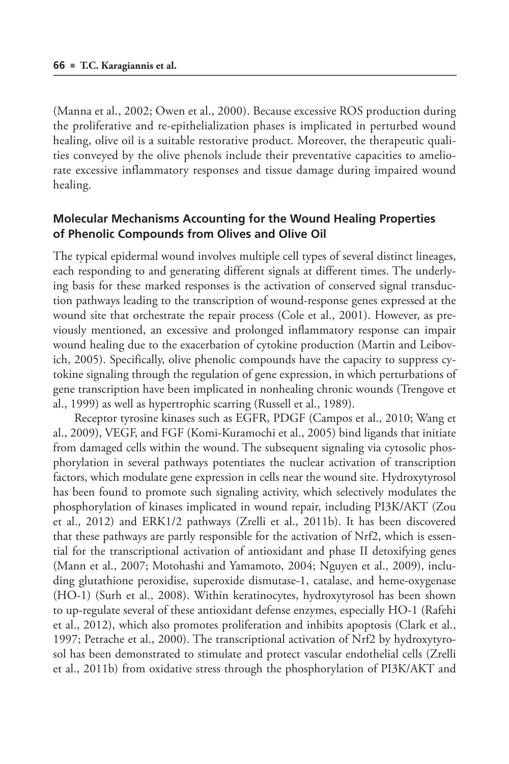(Manna et al., 2002; Owen et al., 2000). Because excessive ROS production during the proliferative and re-epithelialization phases is implicated in perturbed wound healing, olive oil is a suitable restorative product. Moreover, the therapeutic qualities conveyed by the olive phenols include their preventative capacities to ameliorate excessive inflammatory responses and tissue damage during impaired wound healing.

# **Molecular Mechanisms Accounting for the Wound Healing Properties of Phenolic Compounds from Olives and Olive Oil**

The typical epidermal wound involves multiple cell types of several distinct lineages, each responding to and generating different signals at different times. The underlying basis for these marked responses is the activation of conserved signal transduction pathways leading to the transcription of wound-response genes expressed at the wound site that orchestrate the repair process (Cole et al., 2001). However, as previously mentioned, an excessive and prolonged inflammatory response can impair wound healing due to the exacerbation of cytokine production (Martin and Leibovich, 2005). Specifically, olive phenolic compounds have the capacity to suppress cytokine signaling through the regulation of gene expression, in which perturbations of gene transcription have been implicated in nonhealing chronic wounds (Trengove et al., 1999) as well as hypertrophic scarring (Russell et al., 1989).

Receptor tyrosine kinases such as EGFR, PDGF (Campos et al., 2010; Wang et al., 2009), VEGF, and FGF (Komi-Kuramochi et al., 2005) bind ligands that initiate from damaged cells within the wound. The subsequent signaling via cytosolic phosphorylation in several pathways potentiates the nuclear activation of transcription factors, which modulate gene expression in cells near the wound site. Hydroxytyrosol has been found to promote such signaling activity, which selectively modulates the phosphorylation of kinases implicated in wound repair, including PI3K/AKT (Zou et al., 2012) and ERK1/2 pathways (Zrelli et al., 2011b). It has been discovered that these pathways are partly responsible for the activation of Nrf2, which is essential for the transcriptional activation of antioxidant and phase II detoxifying genes (Mann et al., 2007; Motohashi and Yamamoto, 2004; Nguyen et al., 2009), including glutathione peroxidise, superoxide dismutase-1, catalase, and heme-oxygenase (HO-1) (Surh et al., 2008). Within keratinocytes, hydroxytyrosol has been shown to up-regulate several of these antioxidant defense enzymes, especially HO-1 (Rafehi et al., 2012), which also promotes proliferation and inhibits apoptosis (Clark et al., 1997; Petrache et al., 2000). The transcriptional activation of Nrf2 by hydroxytyrosol has been demonstrated to stimulate and protect vascular endothelial cells (Zrelli et al., 2011b) from oxidative stress through the phosphorylation of PI3K/AKT and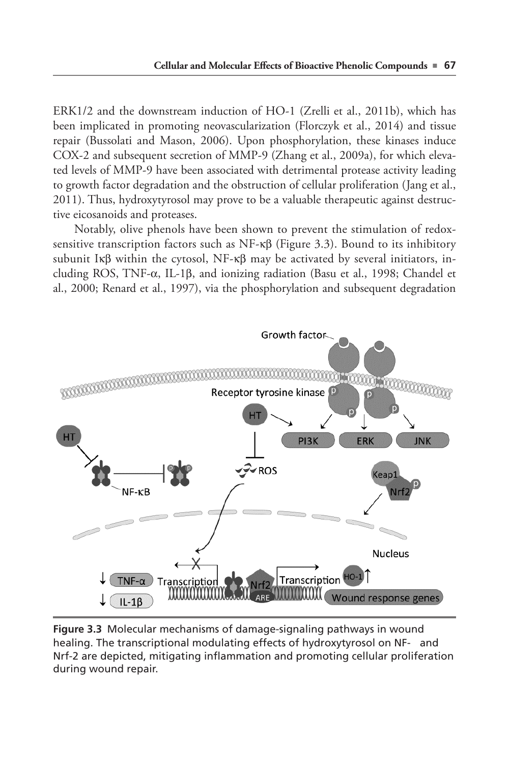ERK1/2 and the downstream induction of HO-1 (Zrelli et al., 2011b), which has been implicated in promoting neovascularization (Florczyk et al., 2014) and tissue repair (Bussolati and Mason, 2006). Upon phosphorylation, these kinases induce COX-2 and subsequent secretion of MMP-9 (Zhang et al., 2009a), for which elevated levels of MMP-9 have been associated with detrimental protease activity leading to growth factor degradation and the obstruction of cellular proliferation (Jang et al., 2011). Thus, hydroxytyrosol may prove to be a valuable therapeutic against destructive eicosanoids and proteases.

Notably, olive phenols have been shown to prevent the stimulation of redoxsensitive transcription factors such as NF-κβ (Figure 3.3). Bound to its inhibitory subunit Iκβ within the cytosol, NF-κβ may be activated by several initiators, including ROS, TNF-α, IL-1β, and ionizing radiation (Basu et al., 1998; Chandel et al., 2000; Renard et al., 1997), via the phosphorylation and subsequent degradation



**Figure 3.3** Molecular mechanisms of damage-signaling pathways in wound healing. The transcriptional modulating effects of hydroxytyrosol on NF- and Nrf-2 are depicted, mitigating inflammation and promoting cellular proliferation during wound repair.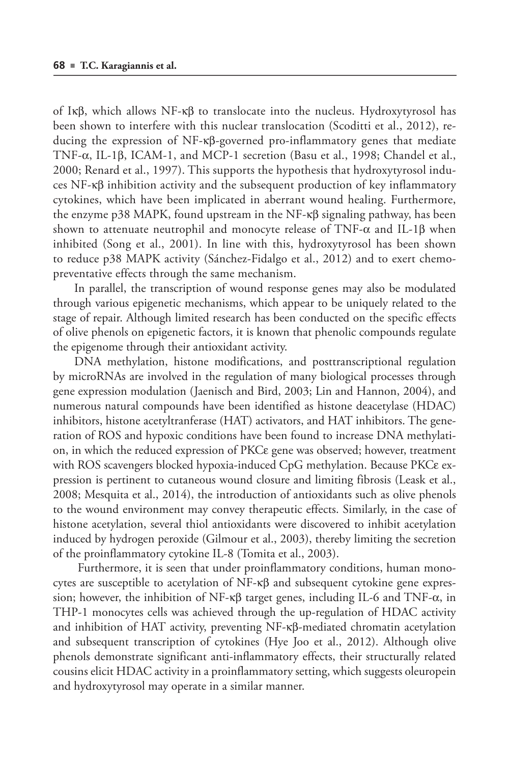of Iκβ, which allows NF-κβ to translocate into the nucleus. Hydroxytyrosol has been shown to interfere with this nuclear translocation (Scoditti et al., 2012), reducing the expression of NF-κβ-governed pro-inflammatory genes that mediate TNF-α, IL-1β, ICAM-1, and MCP-1 secretion (Basu et al., 1998; Chandel et al., 2000; Renard et al., 1997). This supports the hypothesis that hydroxytyrosol induces NF-κβ inhibition activity and the subsequent production of key inflammatory cytokines, which have been implicated in aberrant wound healing. Furthermore, the enzyme p38 MAPK, found upstream in the NF-κβ signaling pathway, has been shown to attenuate neutrophil and monocyte release of TNF-α and IL-1β when inhibited (Song et al., 2001). In line with this, hydroxytyrosol has been shown to reduce p38 MAPK activity (Sánchez-Fidalgo et al., 2012) and to exert chemopreventative effects through the same mechanism.

In parallel, the transcription of wound response genes may also be modulated through various epigenetic mechanisms, which appear to be uniquely related to the stage of repair. Although limited research has been conducted on the specific effects of olive phenols on epigenetic factors, it is known that phenolic compounds regulate the epigenome through their antioxidant activity.

DNA methylation, histone modifications, and posttranscriptional regulation by microRNAs are involved in the regulation of many biological processes through gene expression modulation (Jaenisch and Bird, 2003; Lin and Hannon, 2004), and numerous natural compounds have been identified as histone deacetylase (HDAC) inhibitors, histone acetyltranferase (HAT) activators, and HAT inhibitors. The generation of ROS and hypoxic conditions have been found to increase DNA methylation, in which the reduced expression of PKCε gene was observed; however, treatment with ROS scavengers blocked hypoxia-induced CpG methylation. Because PKCε expression is pertinent to cutaneous wound closure and limiting fibrosis (Leask et al., 2008; Mesquita et al., 2014), the introduction of antioxidants such as olive phenols to the wound environment may convey therapeutic effects. Similarly, in the case of histone acetylation, several thiol antioxidants were discovered to inhibit acetylation induced by hydrogen peroxide (Gilmour et al., 2003), thereby limiting the secretion of the proinflammatory cytokine IL-8 (Tomita et al., 2003).

 Furthermore, it is seen that under proinflammatory conditions, human monocytes are susceptible to acetylation of NF-κβ and subsequent cytokine gene expression; however, the inhibition of NF- $\kappa\beta$  target genes, including IL-6 and TNF- $\alpha$ , in THP-1 monocytes cells was achieved through the up-regulation of HDAC activity and inhibition of HAT activity, preventing NF-κβ-mediated chromatin acetylation and subsequent transcription of cytokines (Hye Joo et al., 2012). Although olive phenols demonstrate significant anti-inflammatory effects, their structurally related cousins elicit HDAC activity in a proinflammatory setting, which suggests oleuropein and hydroxytyrosol may operate in a similar manner.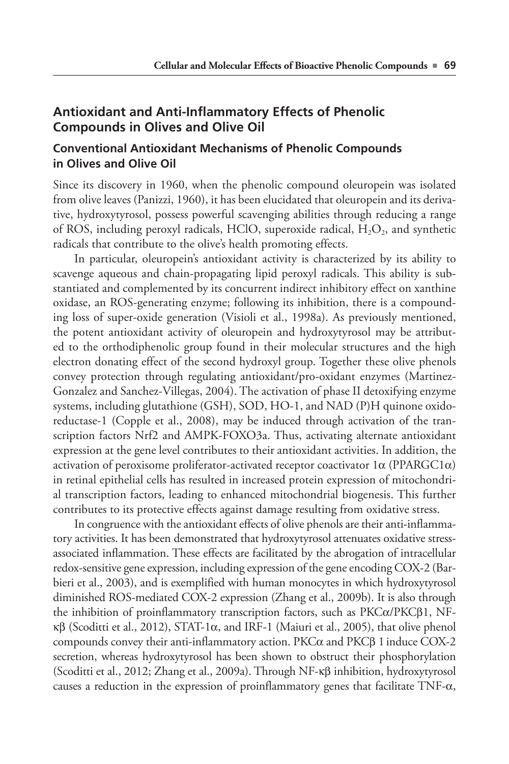# **Antioxidant and Anti-Inflammatory Effects of Phenolic Compounds in Olives and Olive Oil**

## **Conventional Antioxidant Mechanisms of Phenolic Compounds in Olives and Olive Oil**

Since its discovery in 1960, when the phenolic compound oleuropein was isolated from olive leaves (Panizzi, 1960), it has been elucidated that oleuropein and its derivative, hydroxytyrosol, possess powerful scavenging abilities through reducing a range of ROS, including peroxyl radicals, HClO, superoxide radical,  $H_2O_2$ , and synthetic radicals that contribute to the olive's health promoting effects.

In particular, oleuropein's antioxidant activity is characterized by its ability to scavenge aqueous and chain-propagating lipid peroxyl radicals. This ability is substantiated and complemented by its concurrent indirect inhibitory effect on xanthine oxidase, an ROS-generating enzyme; following its inhibition, there is a compounding loss of super-oxide generation (Visioli et al., 1998a). As previously mentioned, the potent antioxidant activity of oleuropein and hydroxytyrosol may be attributed to the orthodiphenolic group found in their molecular structures and the high electron donating effect of the second hydroxyl group. Together these olive phenols convey protection through regulating antioxidant/pro-oxidant enzymes (Martinez-Gonzalez and Sanchez-Villegas, 2004). The activation of phase II detoxifying enzyme systems, including glutathione (GSH), SOD, HO-1, and NAD (P)H quinone oxidoreductase-1 (Copple et al., 2008), may be induced through activation of the transcription factors Nrf2 and AMPK-FOXO3a. Thus, activating alternate antioxidant expression at the gene level contributes to their antioxidant activities. In addition, the activation of peroxisome proliferator-activated receptor coactivator  $1α$  (PPARGC1 $α$ ) in retinal epithelial cells has resulted in increased protein expression of mitochondrial transcription factors, leading to enhanced mitochondrial biogenesis. This further contributes to its protective effects against damage resulting from oxidative stress.

In congruence with the antioxidant effects of olive phenols are their anti-inflammatory activities. It has been demonstrated that hydroxytyrosol attenuates oxidative stressassociated inflammation. These effects are facilitated by the abrogation of intracellular redox-sensitive gene expression, including expression of the gene encoding COX-2 (Barbieri et al., 2003), and is exemplified with human monocytes in which hydroxytyrosol diminished ROS-mediated COX-2 expression (Zhang et al., 2009b). It is also through the inhibition of proinflammatory transcription factors, such as PKCα/PKCβ1, NFκβ (Scoditti et al., 2012), STAT-1α, and IRF-1 (Maiuri et al., 2005), that olive phenol compounds convey their anti-inflammatory action. PKCα and PKCβ 1induce COX-2 secretion, whereas hydroxytyrosol has been shown to obstruct their phosphorylation (Scoditti et al., 2012; Zhang et al., 2009a). Through NF-κβ inhibition, hydroxytyrosol causes a reduction in the expression of proinflammatory genes that facilitate  $TNF-\alpha$ ,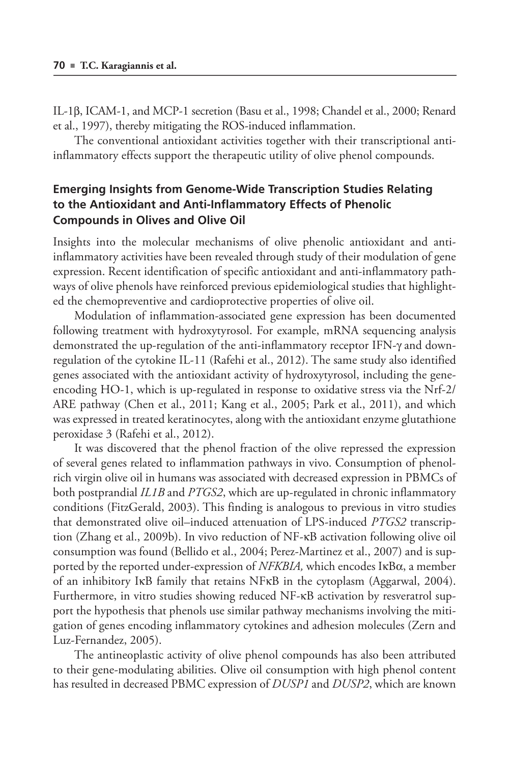IL-1β, ICAM-1, and MCP-1 secretion (Basu et al., 1998; Chandel et al., 2000; Renard et al., 1997), thereby mitigating the ROS-induced inflammation.

The conventional antioxidant activities together with their transcriptional antiinflammatory effects support the therapeutic utility of olive phenol compounds.

# **Emerging Insights from Genome-Wide Transcription Studies Relating to the Antioxidant and Anti-Inflammatory Effects of Phenolic Compounds in Olives and Olive Oil**

Insights into the molecular mechanisms of olive phenolic antioxidant and antiinflammatory activities have been revealed through study of their modulation of gene expression. Recent identification of specific antioxidant and anti-inflammatory pathways of olive phenols have reinforced previous epidemiological studies that highlighted the chemopreventive and cardioprotective properties of olive oil.

Modulation of inflammation-associated gene expression has been documented following treatment with hydroxytyrosol. For example, mRNA sequencing analysis demonstrated the up-regulation of the anti-inflammatory receptor IFN-γ and downregulation of the cytokine IL-11 (Rafehi et al., 2012). The same study also identified genes associated with the antioxidant activity of hydroxytyrosol, including the geneencoding HO-1, which is up-regulated in response to oxidative stress via the Nrf-2/ ARE pathway (Chen et al., 2011; Kang et al., 2005; Park et al., 2011), and which was expressed in treated keratinocytes, along with the antioxidant enzyme glutathione peroxidase 3 (Rafehi et al., 2012).

It was discovered that the phenol fraction of the olive repressed the expression of several genes related to inflammation pathways in vivo. Consumption of phenolrich virgin olive oil in humans was associated with decreased expression in PBMCs of both postprandial *IL1B* and *PTGS2*, which are up-regulated in chronic inflammatory conditions (FitzGerald, 2003). This finding is analogous to previous in vitro studies that demonstrated olive oil–induced attenuation of LPS-induced *PTGS2* transcription (Zhang et al., 2009b). In vivo reduction of NF-κB activation following olive oil consumption was found (Bellido et al., 2004; Perez-Martinez et al., 2007) and is supported by the reported under-expression of *NFKBIA,* which encodes IκBα, a member of an inhibitory IκB family that retains NFκB in the cytoplasm (Aggarwal, 2004). Furthermore, in vitro studies showing reduced NF-κB activation by resveratrol support the hypothesis that phenols use similar pathway mechanisms involving the mitigation of genes encoding inflammatory cytokines and adhesion molecules (Zern and Luz-Fernandez, 2005).

The antineoplastic activity of olive phenol compounds has also been attributed to their gene-modulating abilities. Olive oil consumption with high phenol content has resulted in decreased PBMC expression of *DUSP1* and *DUSP2*, which are known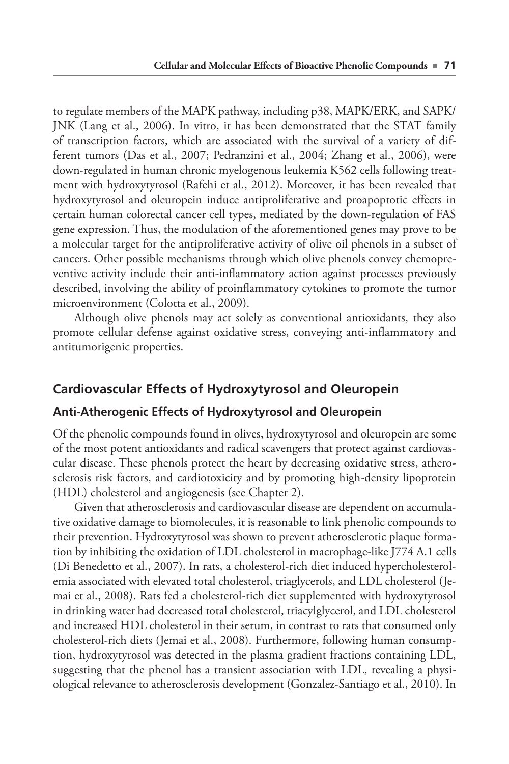to regulate members of the MAPK pathway, including p38, MAPK/ERK, and SAPK/ JNK (Lang et al., 2006). In vitro, it has been demonstrated that the STAT family of transcription factors, which are associated with the survival of a variety of different tumors (Das et al., 2007; Pedranzini et al., 2004; Zhang et al., 2006), were down-regulated in human chronic myelogenous leukemia K562 cells following treatment with hydroxytyrosol (Rafehi et al., 2012). Moreover, it has been revealed that hydroxytyrosol and oleuropein induce antiproliferative and proapoptotic effects in certain human colorectal cancer cell types, mediated by the down-regulation of FAS gene expression. Thus, the modulation of the aforementioned genes may prove to be a molecular target for the antiproliferative activity of olive oil phenols in a subset of cancers. Other possible mechanisms through which olive phenols convey chemopreventive activity include their anti-inflammatory action against processes previously described, involving the ability of proinflammatory cytokines to promote the tumor microenvironment (Colotta et al., 2009).

Although olive phenols may act solely as conventional antioxidants, they also promote cellular defense against oxidative stress, conveying anti-inflammatory and antitumorigenic properties.

# **Cardiovascular Effects of Hydroxytyrosol and Oleuropein**

## **Anti-Atherogenic Effects of Hydroxytyrosol and Oleuropein**

Of the phenolic compounds found in olives, hydroxytyrosol and oleuropein are some of the most potent antioxidants and radical scavengers that protect against cardiovascular disease. These phenols protect the heart by decreasing oxidative stress, atherosclerosis risk factors, and cardiotoxicity and by promoting high-density lipoprotein (HDL) cholesterol and angiogenesis (see Chapter 2).

Given that atherosclerosis and cardiovascular disease are dependent on accumulative oxidative damage to biomolecules, it is reasonable to link phenolic compounds to their prevention. Hydroxytyrosol was shown to prevent atherosclerotic plaque formation by inhibiting the oxidation of LDL cholesterol in macrophage-like J774 A.1 cells (Di Benedetto et al., 2007). In rats, a cholesterol-rich diet induced hypercholesterolemia associated with elevated total cholesterol, triaglycerols, and LDL cholesterol (Jemai et al., 2008). Rats fed a cholesterol-rich diet supplemented with hydroxytyrosol in drinking water had decreased total cholesterol, triacylglycerol, and LDL cholesterol and increased HDL cholesterol in their serum, in contrast to rats that consumed only cholesterol-rich diets (Jemai et al., 2008). Furthermore, following human consumption, hydroxytyrosol was detected in the plasma gradient fractions containing LDL, suggesting that the phenol has a transient association with LDL, revealing a physiological relevance to atherosclerosis development (Gonzalez-Santiago et al., 2010). In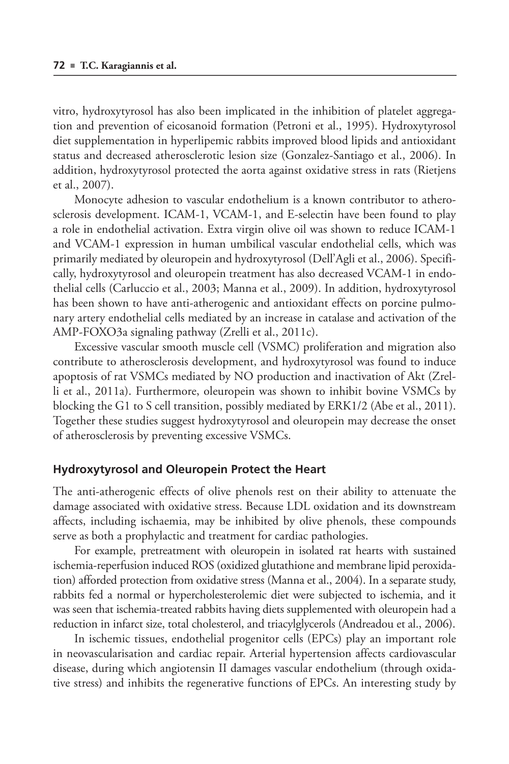vitro, hydroxytyrosol has also been implicated in the inhibition of platelet aggregation and prevention of eicosanoid formation (Petroni et al., 1995). Hydroxytyrosol diet supplementation in hyperlipemic rabbits improved blood lipids and antioxidant status and decreased atherosclerotic lesion size (Gonzalez-Santiago et al., 2006). In addition, hydroxytyrosol protected the aorta against oxidative stress in rats (Rietjens et al., 2007).

Monocyte adhesion to vascular endothelium is a known contributor to atherosclerosis development. ICAM-1, VCAM-1, and E-selectin have been found to play a role in endothelial activation. Extra virgin olive oil was shown to reduce ICAM-1 and VCAM-1 expression in human umbilical vascular endothelial cells, which was primarily mediated by oleuropein and hydroxytyrosol (Dell'Agli et al., 2006). Specifically, hydroxytyrosol and oleuropein treatment has also decreased VCAM-1 in endothelial cells (Carluccio et al., 2003; Manna et al., 2009). In addition, hydroxytyrosol has been shown to have anti-atherogenic and antioxidant effects on porcine pulmonary artery endothelial cells mediated by an increase in catalase and activation of the AMP-FOXO3a signaling pathway (Zrelli et al., 2011c).

Excessive vascular smooth muscle cell (VSMC) proliferation and migration also contribute to atherosclerosis development, and hydroxytyrosol was found to induce apoptosis of rat VSMCs mediated by NO production and inactivation of Akt (Zrelli et al., 2011a). Furthermore, oleuropein was shown to inhibit bovine VSMCs by blocking the G1 to S cell transition, possibly mediated by ERK1/2 (Abe et al., 2011). Together these studies suggest hydroxytyrosol and oleuropein may decrease the onset of atherosclerosis by preventing excessive VSMCs.

#### **Hydroxytyrosol and Oleuropein Protect the Heart**

The anti-atherogenic effects of olive phenols rest on their ability to attenuate the damage associated with oxidative stress. Because LDL oxidation and its downstream affects, including ischaemia, may be inhibited by olive phenols, these compounds serve as both a prophylactic and treatment for cardiac pathologies.

For example, pretreatment with oleuropein in isolated rat hearts with sustained ischemia-reperfusion induced ROS (oxidized glutathione and membrane lipid peroxidation) afforded protection from oxidative stress (Manna et al., 2004). In a separate study, rabbits fed a normal or hypercholesterolemic diet were subjected to ischemia, and it was seen that ischemia-treated rabbits having diets supplemented with oleuropein had a reduction in infarct size, total cholesterol, and triacylglycerols (Andreadou et al., 2006).

In ischemic tissues, endothelial progenitor cells (EPCs) play an important role in neovascularisation and cardiac repair. Arterial hypertension affects cardiovascular disease, during which angiotensin II damages vascular endothelium (through oxidative stress) and inhibits the regenerative functions of EPCs. An interesting study by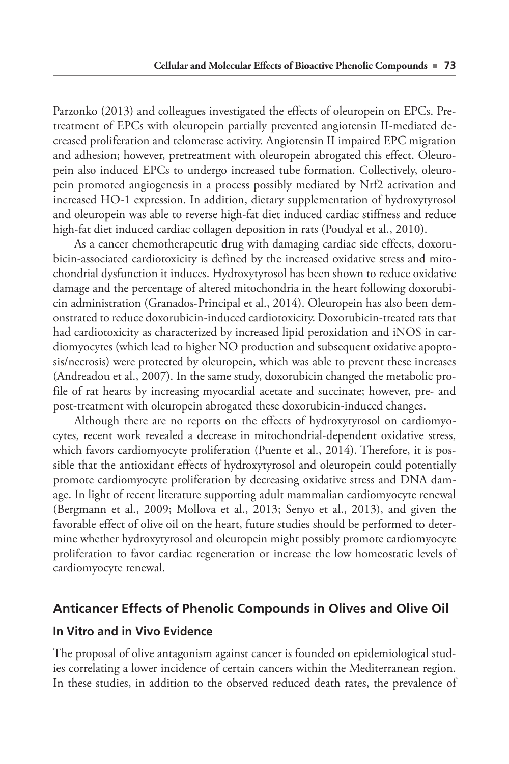Parzonko (2013) and colleagues investigated the effects of oleuropein on EPCs. Pretreatment of EPCs with oleuropein partially prevented angiotensin II-mediated decreased proliferation and telomerase activity. Angiotensin II impaired EPC migration and adhesion; however, pretreatment with oleuropein abrogated this effect. Oleuropein also induced EPCs to undergo increased tube formation. Collectively, oleuropein promoted angiogenesis in a process possibly mediated by Nrf2 activation and increased HO-1 expression. In addition, dietary supplementation of hydroxytyrosol and oleuropein was able to reverse high-fat diet induced cardiac stiffness and reduce high-fat diet induced cardiac collagen deposition in rats (Poudyal et al., 2010).

As a cancer chemotherapeutic drug with damaging cardiac side effects, doxorubicin-associated cardiotoxicity is defined by the increased oxidative stress and mitochondrial dysfunction it induces. Hydroxytyrosol has been shown to reduce oxidative damage and the percentage of altered mitochondria in the heart following doxorubicin administration (Granados-Principal et al., 2014). Oleuropein has also been demonstrated to reduce doxorubicin-induced cardiotoxicity. Doxorubicin-treated rats that had cardiotoxicity as characterized by increased lipid peroxidation and iNOS in cardiomyocytes (which lead to higher NO production and subsequent oxidative apoptosis/necrosis) were protected by oleuropein, which was able to prevent these increases (Andreadou et al., 2007). In the same study, doxorubicin changed the metabolic profile of rat hearts by increasing myocardial acetate and succinate; however, pre- and post-treatment with oleuropein abrogated these doxorubicin-induced changes.

Although there are no reports on the effects of hydroxytyrosol on cardiomyocytes, recent work revealed a decrease in mitochondrial-dependent oxidative stress, which favors cardiomyocyte proliferation (Puente et al., 2014). Therefore, it is possible that the antioxidant effects of hydroxytyrosol and oleuropein could potentially promote cardiomyocyte proliferation by decreasing oxidative stress and DNA damage. In light of recent literature supporting adult mammalian cardiomyocyte renewal (Bergmann et al., 2009; Mollova et al., 2013; Senyo et al., 2013), and given the favorable effect of olive oil on the heart, future studies should be performed to determine whether hydroxytyrosol and oleuropein might possibly promote cardiomyocyte proliferation to favor cardiac regeneration or increase the low homeostatic levels of cardiomyocyte renewal.

### **Anticancer Effects of Phenolic Compounds in Olives and Olive Oil**

#### **In Vitro and in Vivo Evidence**

The proposal of olive antagonism against cancer is founded on epidemiological studies correlating a lower incidence of certain cancers within the Mediterranean region. In these studies, in addition to the observed reduced death rates, the prevalence of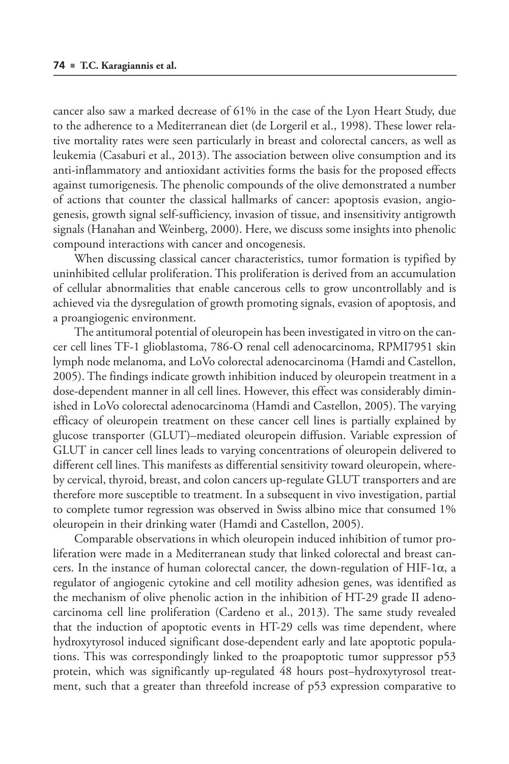cancer also saw a marked decrease of 61% in the case of the Lyon Heart Study, due to the adherence to a Mediterranean diet (de Lorgeril et al., 1998). These lower relative mortality rates were seen particularly in breast and colorectal cancers, as well as leukemia (Casaburi et al., 2013). The association between olive consumption and its anti-inflammatory and antioxidant activities forms the basis for the proposed effects against tumorigenesis. The phenolic compounds of the olive demonstrated a number of actions that counter the classical hallmarks of cancer: apoptosis evasion, angiogenesis, growth signal self-sufficiency, invasion of tissue, and insensitivity antigrowth signals (Hanahan and Weinberg, 2000). Here, we discuss some insights into phenolic compound interactions with cancer and oncogenesis.

When discussing classical cancer characteristics, tumor formation is typified by uninhibited cellular proliferation. This proliferation is derived from an accumulation of cellular abnormalities that enable cancerous cells to grow uncontrollably and is achieved via the dysregulation of growth promoting signals, evasion of apoptosis, and a proangiogenic environment.

The antitumoral potential of oleuropein has been investigated in vitro on the cancer cell lines TF-1 glioblastoma, 786-O renal cell adenocarcinoma, RPMI7951 skin lymph node melanoma, and LoVo colorectal adenocarcinoma (Hamdi and Castellon, 2005). The findings indicate growth inhibition induced by oleuropein treatment in a dose-dependent manner in all cell lines. However, this effect was considerably diminished in LoVo colorectal adenocarcinoma (Hamdi and Castellon, 2005). The varying efficacy of oleuropein treatment on these cancer cell lines is partially explained by glucose transporter (GLUT)–mediated oleuropein diffusion. Variable expression of GLUT in cancer cell lines leads to varying concentrations of oleuropein delivered to different cell lines. This manifests as differential sensitivity toward oleuropein, whereby cervical, thyroid, breast, and colon cancers up-regulate GLUT transporters and are therefore more susceptible to treatment. In a subsequent in vivo investigation, partial to complete tumor regression was observed in Swiss albino mice that consumed 1% oleuropein in their drinking water (Hamdi and Castellon, 2005).

Comparable observations in which oleuropein induced inhibition of tumor proliferation were made in a Mediterranean study that linked colorectal and breast cancers. In the instance of human colorectal cancer, the down-regulation of HIF-1α, a regulator of angiogenic cytokine and cell motility adhesion genes, was identified as the mechanism of olive phenolic action in the inhibition of HT-29 grade II adenocarcinoma cell line proliferation (Cardeno et al., 2013). The same study revealed that the induction of apoptotic events in HT-29 cells was time dependent, where hydroxytyrosol induced significant dose-dependent early and late apoptotic populations. This was correspondingly linked to the proapoptotic tumor suppressor p53 protein, which was significantly up-regulated 48 hours post–hydroxytyrosol treatment, such that a greater than threefold increase of p53 expression comparative to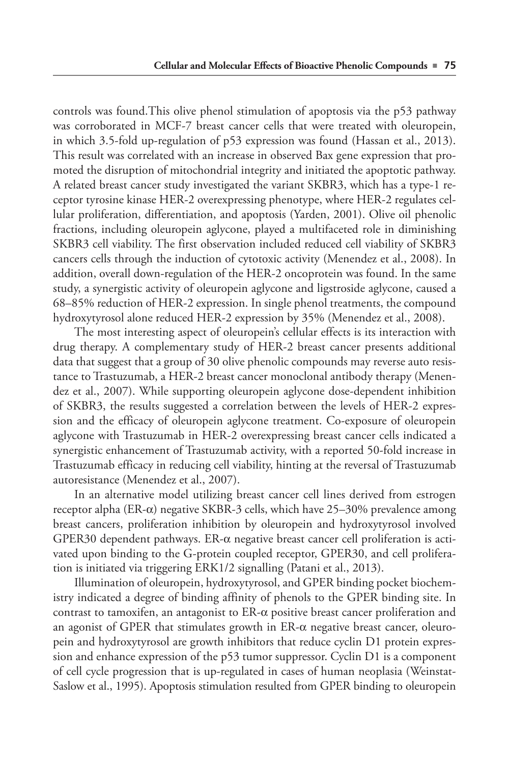controls was found.This olive phenol stimulation of apoptosis via the p53 pathway was corroborated in MCF-7 breast cancer cells that were treated with oleuropein, in which 3.5-fold up-regulation of p53 expression was found (Hassan et al., 2013). This result was correlated with an increase in observed Bax gene expression that promoted the disruption of mitochondrial integrity and initiated the apoptotic pathway. A related breast cancer study investigated the variant SKBR3, which has a type-1 receptor tyrosine kinase HER-2 overexpressing phenotype, where HER-2 regulates cellular proliferation, differentiation, and apoptosis (Yarden, 2001). Olive oil phenolic fractions, including oleuropein aglycone, played a multifaceted role in diminishing SKBR3 cell viability. The first observation included reduced cell viability of SKBR3 cancers cells through the induction of cytotoxic activity (Menendez et al., 2008). In addition, overall down-regulation of the HER-2 oncoprotein was found. In the same study, a synergistic activity of oleuropein aglycone and ligstroside aglycone, caused a 68–85% reduction of HER-2 expression. In single phenol treatments, the compound hydroxytyrosol alone reduced HER-2 expression by 35% (Menendez et al., 2008).

The most interesting aspect of oleuropein's cellular effects is its interaction with drug therapy. A complementary study of HER-2 breast cancer presents additional data that suggest that a group of 30 olive phenolic compounds may reverse auto resistance to Trastuzumab, a HER-2 breast cancer monoclonal antibody therapy (Menendez et al., 2007). While supporting oleuropein aglycone dose-dependent inhibition of SKBR3, the results suggested a correlation between the levels of HER-2 expression and the efficacy of oleuropein aglycone treatment. Co-exposure of oleuropein aglycone with Trastuzumab in HER-2 overexpressing breast cancer cells indicated a synergistic enhancement of Trastuzumab activity, with a reported 50-fold increase in Trastuzumab efficacy in reducing cell viability, hinting at the reversal of Trastuzumab autoresistance (Menendez et al., 2007).

In an alternative model utilizing breast cancer cell lines derived from estrogen receptor alpha (ER-α) negative SKBR-3 cells, which have 25–30% prevalence among breast cancers, proliferation inhibition by oleuropein and hydroxytyrosol involved GPER30 dependent pathways. ER- $\alpha$  negative breast cancer cell proliferation is activated upon binding to the G-protein coupled receptor, GPER30, and cell proliferation is initiated via triggering ERK1/2 signalling (Patani et al., 2013).

Illumination of oleuropein, hydroxytyrosol, and GPER binding pocket biochemistry indicated a degree of binding affinity of phenols to the GPER binding site. In contrast to tamoxifen, an antagonist to ER-α positive breast cancer proliferation and an agonist of GPER that stimulates growth in  $ER-\alpha$  negative breast cancer, oleuropein and hydroxytyrosol are growth inhibitors that reduce cyclin D1 protein expression and enhance expression of the p53 tumor suppressor. Cyclin D1 is a component of cell cycle progression that is up-regulated in cases of human neoplasia (Weinstat-Saslow et al., 1995). Apoptosis stimulation resulted from GPER binding to oleuropein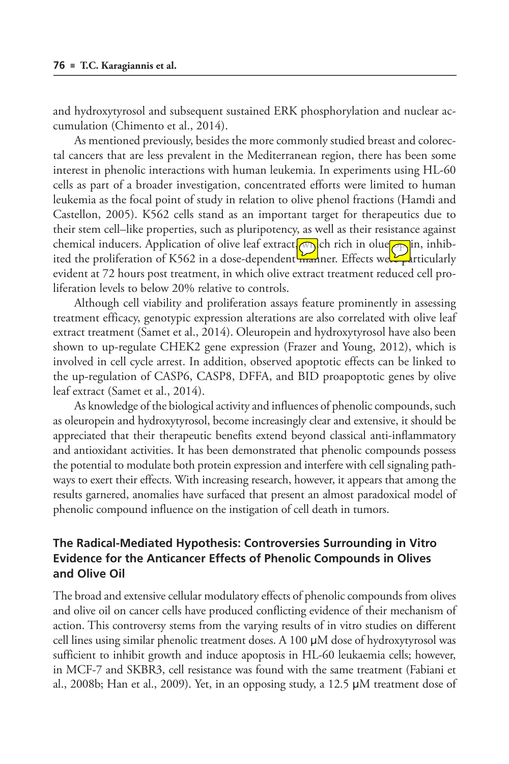and hydroxytyrosol and subsequent sustained ERK phosphorylation and nuclear accumulation (Chimento et al., 2014).

As mentioned previously, besides the more commonly studied breast and colorectal cancers that are less prevalent in the Mediterranean region, there has been some interest in phenolic interactions with human leukemia. In experiments using HL-60 cells as part of a broader investigation, concentrated efforts were limited to human leukemia as the focal point of study in relation to olive phenol fractions (Hamdi and Castellon, 2005). K562 cells stand as an important target for therapeutics due to their stem cell–like properties, such as pluripotency, as well as their resistance against chemical inducers. Application of olive leaf extract,  $\sqrt{m}$  ch rich in olue $\sqrt{m}$  in, inhibited the proliferation of K562 in a dose-dependent manner. Effects weten articularly evident at 72 hours post treatment, in which olive extract treatment reduced cell proliferation levels to below 20% relative to controls.

Although cell viability and proliferation assays feature prominently in assessing treatment efficacy, genotypic expression alterations are also correlated with olive leaf extract treatment (Samet et al., 2014). Oleuropein and hydroxytyrosol have also been shown to up-regulate CHEK2 gene expression (Frazer and Young, 2012), which is involved in cell cycle arrest. In addition, observed apoptotic effects can be linked to the up-regulation of CASP6, CASP8, DFFA, and BID proapoptotic genes by olive leaf extract (Samet et al., 2014).

As knowledge of the biological activity and influences of phenolic compounds, such as oleuropein and hydroxytyrosol, become increasingly clear and extensive, it should be appreciated that their therapeutic benefits extend beyond classical anti-inflammatory and antioxidant activities. It has been demonstrated that phenolic compounds possess the potential to modulate both protein expression and interfere with cell signaling pathways to exert their effects. With increasing research, however, it appears that among the results garnered, anomalies have surfaced that present an almost paradoxical model of phenolic compound influence on the instigation of cell death in tumors.

# **The Radical-Mediated Hypothesis: Controversies Surrounding in Vitro Evidence for the Anticancer Effects of Phenolic Compounds in Olives and Olive Oil**

The broad and extensive cellular modulatory effects of phenolic compounds from olives and olive oil on cancer cells have produced conflicting evidence of their mechanism of action. This controversy stems from the varying results of in vitro studies on different cell lines using similar phenolic treatment doses. A 100 µM dose of hydroxytyrosol was sufficient to inhibit growth and induce apoptosis in HL-60 leukaemia cells; however, in MCF-7 and SKBR3, cell resistance was found with the same treatment (Fabiani et al., 2008b; Han et al., 2009). Yet, in an opposing study, a 12.5 µM treatment dose of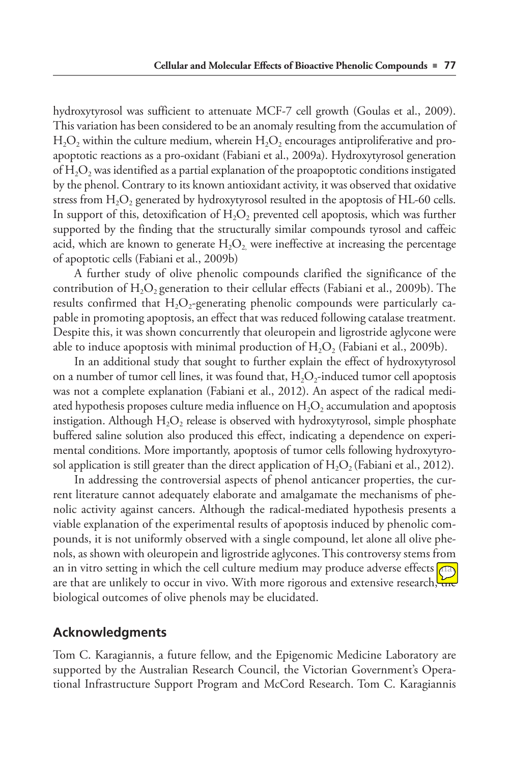hydroxytyrosol was sufficient to attenuate MCF-7 cell growth (Goulas et al., 2009). This variation has been considered to be an anomaly resulting from the accumulation of  $H<sub>2</sub>O<sub>2</sub>$  within the culture medium, wherein  $H<sub>2</sub>O<sub>2</sub>$  encourages antiproliferative and proapoptotic reactions as a pro-oxidant (Fabiani et al., 2009a). Hydroxytyrosol generation of  $H<sub>2</sub>O<sub>2</sub>$  was identified as a partial explanation of the proapoptotic conditions instigated by the phenol. Contrary to its known antioxidant activity, it was observed that oxidative stress from  $H_2O_2$  generated by hydroxytyrosol resulted in the apoptosis of HL-60 cells. In support of this, detoxification of  $H_2O_2$  prevented cell apoptosis, which was further supported by the finding that the structurally similar compounds tyrosol and caffeic acid, which are known to generate  $H_2O_2$  were ineffective at increasing the percentage of apoptotic cells (Fabiani et al., 2009b)

A further study of olive phenolic compounds clarified the significance of the contribution of  $H_2O_2$  generation to their cellular effects (Fabiani et al., 2009b). The results confirmed that  $H_2O_2$ -generating phenolic compounds were particularly capable in promoting apoptosis, an effect that was reduced following catalase treatment. Despite this, it was shown concurrently that oleuropein and ligrostride aglycone were able to induce apoptosis with minimal production of  $H_2O_2$  (Fabiani et al., 2009b).

In an additional study that sought to further explain the effect of hydroxytyrosol on a number of tumor cell lines, it was found that,  $H_2O_2$ -induced tumor cell apoptosis was not a complete explanation (Fabiani et al., 2012). An aspect of the radical mediated hypothesis proposes culture media influence on  $H_2O_2$  accumulation and apoptosis instigation. Although  $H_2O_2$  release is observed with hydroxytyrosol, simple phosphate buffered saline solution also produced this effect, indicating a dependence on experimental conditions. More importantly, apoptosis of tumor cells following hydroxytyrosol application is still greater than the direct application of  $H_2O_2$  (Fabiani et al., 2012).

In addressing the controversial aspects of phenol anticancer properties, the current literature cannot adequately elaborate and amalgamate the mechanisms of phenolic activity against cancers. Although the radical-mediated hypothesis presents a viable explanation of the experimental results of apoptosis induced by phenolic compounds, it is not uniformly observed with a single compound, let alone all olive phenols, as shown with oleuropein and ligrostride aglycones. This controversy stems from an in vitro setting in which the cell culture medium may produce adverse effects  $\sqrt{a}$ are that are unlikely to occur in vivo. With more rigorous and extensive research,  $\frac{1}{100}$ biological outcomes of olive phenols may be elucidated.

### **Acknowledgments**

Tom C. Karagiannis, a future fellow, and the Epigenomic Medicine Laboratory are supported by the Australian Research Council, the Victorian Government's Operational Infrastructure Support Program and McCord Research. Tom C. Karagiannis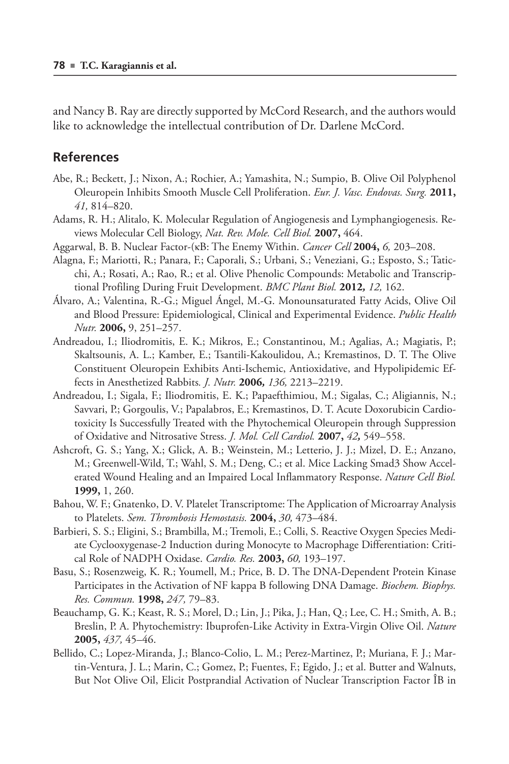and Nancy B. Ray are directly supported by McCord Research, and the authors would like to acknowledge the intellectual contribution of Dr. Darlene McCord.

# **References**

- Abe, R.; Beckett, J.; Nixon, A.; Rochier, A.; Yamashita, N.; Sumpio, B. Olive Oil Polyphenol Oleuropein Inhibits Smooth Muscle Cell Proliferation. *Eur. J. Vasc. Endovas. Surg.* **2011,** *41,* 814–820.
- Adams, R. H.; Alitalo, K. Molecular Regulation of Angiogenesis and Lymphangiogenesis. Reviews Molecular Cell Biology, *Nat. Rev. Mole. Cell Biol.* **2007,** 464.
- Aggarwal, B. B. Nuclear Factor-(κB: The Enemy Within. *Cancer Cell* **2004,** *6,* 203–208.
- Alagna, F.; Mariotti, R.; Panara, F.; Caporali, S.; Urbani, S.; Veneziani, G.; Esposto, S.; Taticchi, A.; Rosati, A.; Rao, R.; et al. Olive Phenolic Compounds: Metabolic and Transcriptional Profiling During Fruit Development. *BMC Plant Biol.* **2012***, 12,* 162.
- Álvaro, A.; Valentina, R.-G.; Miguel Ángel, M.-G. Monounsaturated Fatty Acids, Olive Oil and Blood Pressure: Epidemiological, Clinical and Experimental Evidence. *Public Health Nutr.* **2006,** 9, 251–257.
- Andreadou, I.; Iliodromitis, E. K.; Mikros, E.; Constantinou, M.; Agalias, A.; Magiatis, P.; Skaltsounis, A. L.; Kamber, E.; Tsantili-Kakoulidou, A.; Kremastinos, D. T. The Olive Constituent Oleuropein Exhibits Anti-Ischemic, Antioxidative, and Hypolipidemic Effects in Anesthetized Rabbits*. J. Nutr.* **2006***, 136,* 2213–2219.
- Andreadou, I.; Sigala, F.; Iliodromitis, E. K.; Papaefthimiou, M.; Sigalas, C.; Aligiannis, N.; Savvari, P.; Gorgoulis, V.; Papalabros, E.; Kremastinos, D. T. Acute Doxorubicin Cardiotoxicity Is Successfully Treated with the Phytochemical Oleuropein through Suppression of Oxidative and Nitrosative Stress. *J. Mol. Cell Cardiol.* **2007,** *42,* 549–558.
- Ashcroft, G. S.; Yang, X.; Glick, A. B.; Weinstein, M.; Letterio, J. J.; Mizel, D. E.; Anzano, M.; Greenwell-Wild, T.; Wahl, S. M.; Deng, C.; et al. Mice Lacking Smad3 Show Accelerated Wound Healing and an Impaired Local Inflammatory Response. *Nature Cell Biol.* **1999,** 1, 260.
- Bahou, W. F.; Gnatenko, D. V. Platelet Transcriptome: The Application of Microarray Analysis to Platelets. *Sem. Thrombosis Hemostasis.* **2004,** *30,* 473–484.
- Barbieri, S. S.; Eligini, S.; Brambilla, M.; Tremoli, E.; Colli, S. Reactive Oxygen Species Mediate Cyclooxygenase-2 Induction during Monocyte to Macrophage Differentiation: Critical Role of NADPH Oxidase. *Cardio. Res.* **2003,** *60,* 193–197.
- Basu, S.; Rosenzweig, K. R.; Youmell, M.; Price, B. D. The DNA-Dependent Protein Kinase Participates in the Activation of NF kappa B following DNA Damage. *Biochem. Biophys. Res. Commun.* **1998,** *247,* 79–83.
- Beauchamp, G. K.; Keast, R. S.; Morel, D.; Lin, J.; Pika, J.; Han, Q.; Lee, C. H.; Smith, A. B.; Breslin, P. A. Phytochemistry: Ibuprofen-Like Activity in Extra-Virgin Olive Oil. *Nature* **2005,** *437,* 45–46.
- Bellido, C.; Lopez-Miranda, J.; Blanco-Colio, L. M.; Perez-Martinez, P.; Muriana, F. J.; Martin-Ventura, J. L.; Marin, C.; Gomez, P.; Fuentes, F.; Egido, J.; et al. Butter and Walnuts, But Not Olive Oil, Elicit Postprandial Activation of Nuclear Transcription Factor ÎB in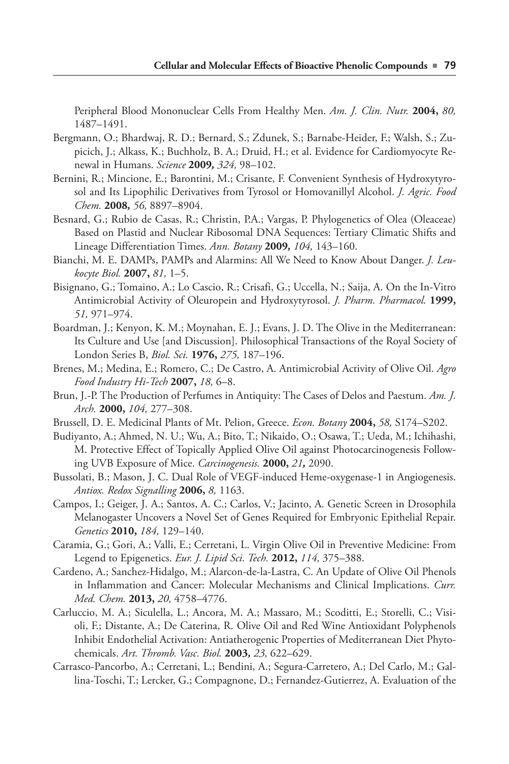Peripheral Blood Mononuclear Cells From Healthy Men. *Am. J. Clin. Nutr.* **2004,** *80,* 1487–1491.

- Bergmann, O.; Bhardwaj, R. D.; Bernard, S.; Zdunek, S.; Barnabe-Heider, F.; Walsh, S.; Zupicich, J.; Alkass, K.; Buchholz, B. A.; Druid, H.; et al. Evidence for Cardiomyocyte Renewal in Humans. *Science* **2009***, 324,* 98–102.
- Bernini, R.; Mincione, E.; Barontini, M.; Crisante, F. Convenient Synthesis of Hydroxytyrosol and Its Lipophilic Derivatives from Tyrosol or Homovanillyl Alcohol. *J. Agric. Food Chem.* **2008***, 56,* 8897–8904.
- Besnard, G.; Rubio de Casas, R.; Christin, P.A.; Vargas, P. Phylogenetics of Olea (Oleaceae) Based on Plastid and Nuclear Ribosomal DNA Sequences: Tertiary Climatic Shifts and Lineage Differentiation Times. *Ann. Botany* **2009***, 104,* 143–160.
- Bianchi, M. E. DAMPs, PAMPs and Alarmins: All We Need to Know About Danger. *J. Leukocyte Biol.* **2007,** *81,* 1–5.
- Bisignano, G.; Tomaino, A.; Lo Cascio, R.; Crisafi, G.; Uccella, N.; Saija, A. On the In-Vitro Antimicrobial Activity of Oleuropein and Hydroxytyrosol. *J. Pharm. Pharmacol.* **1999,**  *51,* 971–974.
- Boardman, J.; Kenyon, K. M.; Moynahan, E. J.; Evans, J. D. The Olive in the Mediterranean: Its Culture and Use [and Discussion]. Philosophical Transactions of the Royal Society of London Series B, *Biol. Sci.* **1976,** *275,* 187–196.
- Brenes, M.; Medina, E.; Romero, C.; De Castro, A. Antimicrobial Activity of Olive Oil. *Agro Food Industry Hi-Tech* **2007,** *18,* 6–8.
- Brun, J.-P. The Production of Perfumes in Antiquity: The Cases of Delos and Paestum. *Am. J. Arch.* **2000,** *104,* 277–308.
- Brussell, D. E. Medicinal Plants of Mt. Pelion, Greece. *Econ. Botany* **2004,** *58,* S174–S202.
- Budiyanto, A.; Ahmed, N. U.; Wu, A.; Bito, T.; Nikaido, O.; Osawa, T.; Ueda, M.; Ichihashi, M. Protective Effect of Topically Applied Olive Oil against Photocarcinogenesis Following UVB Exposure of Mice. *Carcinogenesis.* **2000,** *21,* 2090.
- Bussolati, B.; Mason, J. C. Dual Role of VEGF-induced Heme-oxygenase-1 in Angiogenesis. *Antiox. Redox Signalling* **2006,** *8,* 1163.
- Campos, I.; Geiger, J. A.; Santos, A. C.; Carlos, V.; Jacinto, A. Genetic Screen in Drosophila Melanogaster Uncovers a Novel Set of Genes Required for Embryonic Epithelial Repair. *Genetics* **2010,** *184,* 129–140.
- Caramia, G.; Gori, A.; Valli, E.; Cerretani, L. Virgin Olive Oil in Preventive Medicine: From Legend to Epigenetics. *Eur. J. Lipid Sci. Tech.* **2012,** *114,* 375–388.
- Cardeno, A.; Sanchez-Hidalgo, M.; Alarcon-de-la-Lastra, C. An Update of Olive Oil Phenols in Inflammation and Cancer: Molecular Mechanisms and Clinical Implications. *Curr. Med. Chem.* **2013,** *20,* 4758–4776.
- Carluccio, M. A.; Siculella, L.; Ancora, M. A.; Massaro, M.; Scoditti, E.; Storelli, C.; Visioli, F.; Distante, A.; De Caterina, R. Olive Oil and Red Wine Antioxidant Polyphenols Inhibit Endothelial Activation: Antiatherogenic Properties of Mediterranean Diet Phytochemicals. *Art. Thromb. Vasc. Biol.* **2003***, 23,* 622–629.
- Carrasco-Pancorbo, A.; Cerretani, L.; Bendini, A.; Segura-Carretero, A.; Del Carlo, M.; Gallina-Toschi, T.; Lercker, G.; Compagnone, D.; Fernandez-Gutierrez, A. Evaluation of the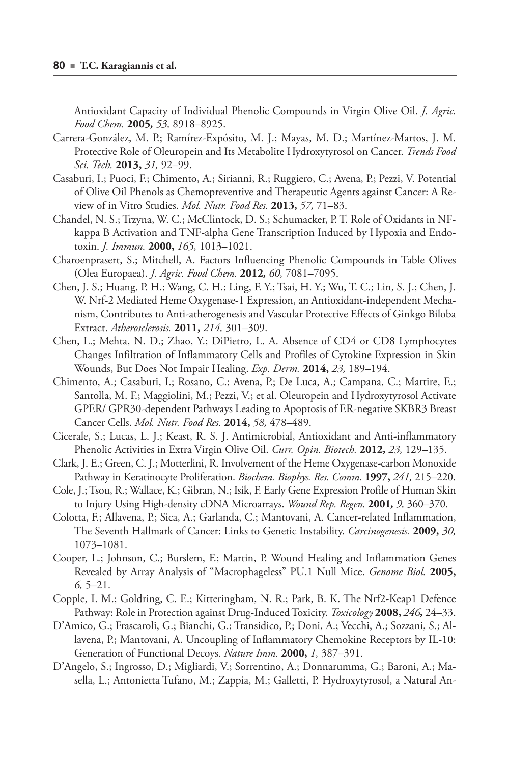Antioxidant Capacity of Individual Phenolic Compounds in Virgin Olive Oil. *J. Agric. Food Chem.* **2005***, 53,* 8918–8925.

- Carrera-González, M. P.; Ramírez-Expósito, M. J.; Mayas, M. D.; Martínez-Martos, J. M. Protective Role of Oleuropein and Its Metabolite Hydroxytyrosol on Cancer. *Trends Food Sci. Tech.* **2013,** *31,* 92–99.
- Casaburi, I.; Puoci, F.; Chimento, A.; Sirianni, R.; Ruggiero, C.; Avena, P.; Pezzi, V. Potential of Olive Oil Phenols as Chemopreventive and Therapeutic Agents against Cancer: A Review of in Vitro Studies. *Mol. Nutr. Food Res.* **2013,** *57,* 71–83.
- Chandel, N. S.; Trzyna, W. C.; McClintock, D. S.; Schumacker, P. T. Role of Oxidants in NFkappa B Activation and TNF-alpha Gene Transcription Induced by Hypoxia and Endotoxin. *J. Immun.* **2000,** *165,* 1013–1021.
- Charoenprasert, S.; Mitchell, A. Factors Influencing Phenolic Compounds in Table Olives (Olea Europaea). *J. Agric. Food Chem.* **2012***, 60,* 7081–7095.
- Chen, J. S.; Huang, P. H.; Wang, C. H.; Ling, F. Y.; Tsai, H. Y.; Wu, T. C.; Lin, S. J.; Chen, J. W. Nrf-2 Mediated Heme Oxygenase-1 Expression, an Antioxidant-independent Mechanism, Contributes to Anti-atherogenesis and Vascular Protective Effects of Ginkgo Biloba Extract. *Atherosclerosis.* **2011,** *214,* 301–309.
- Chen, L.; Mehta, N. D.; Zhao, Y.; DiPietro, L. A. Absence of CD4 or CD8 Lymphocytes Changes Infiltration of Inflammatory Cells and Profiles of Cytokine Expression in Skin Wounds, But Does Not Impair Healing. *Exp. Derm.* **2014,** *23,* 189–194.
- Chimento, A.; Casaburi, I.; Rosano, C.; Avena, P.; De Luca, A.; Campana, C.; Martire, E.; Santolla, M. F.; Maggiolini, M.; Pezzi, V.; et al. Oleuropein and Hydroxytyrosol Activate GPER/ GPR30-dependent Pathways Leading to Apoptosis of ER-negative SKBR3 Breast Cancer Cells. *Mol. Nutr. Food Res.* **2014,** *58,* 478–489.
- Cicerale, S.; Lucas, L. J.; Keast, R. S. J. Antimicrobial, Antioxidant and Anti-inflammatory Phenolic Activities in Extra Virgin Olive Oil. *Curr. Opin. Biotech.* **2012***, 23,* 129–135.
- Clark, J. E.; Green, C. J.; Motterlini, R. Involvement of the Heme Oxygenase-carbon Monoxide Pathway in Keratinocyte Proliferation. *Biochem. Biophys. Res. Comm.* **1997,** *241,* 215–220.
- Cole, J.; Tsou, R.; Wallace, K.; Gibran, N.; Isik, F. Early Gene Expression Profile of Human Skin to Injury Using High-density cDNA Microarrays. *Wound Rep. Regen.* **2001***, 9,* 360–370.
- Colotta, F.; Allavena, P.; Sica, A.; Garlanda, C.; Mantovani, A. Cancer-related Inflammation, The Seventh Hallmark of Cancer: Links to Genetic Instability. *Carcinogenesis.* **2009,** *30,*  1073–1081.
- Cooper, L.; Johnson, C.; Burslem, F.; Martin, P. Wound Healing and Inflammation Genes Revealed by Array Analysis of "Macrophageless" PU.1 Null Mice. *Genome Biol.* **2005,**  *6,* 5–21.
- Copple, I. M.; Goldring, C. E.; Kitteringham, N. R.; Park, B. K. The Nrf2-Keap1 Defence Pathway: Role in Protection against Drug-Induced Toxicity. *Toxicology* **2008,** *246,* 24–33.
- D'Amico, G.; Frascaroli, G.; Bianchi, G.; Transidico, P.; Doni, A.; Vecchi, A.; Sozzani, S.; Allavena, P.; Mantovani, A. Uncoupling of Inflammatory Chemokine Receptors by IL-10: Generation of Functional Decoys. *Nature Imm.* **2000,** *1,* 387–391.
- D'Angelo, S.; Ingrosso, D.; Migliardi, V.; Sorrentino, A.; Donnarumma, G.; Baroni, A.; Masella, L.; Antonietta Tufano, M.; Zappia, M.; Galletti, P. Hydroxytyrosol, a Natural An-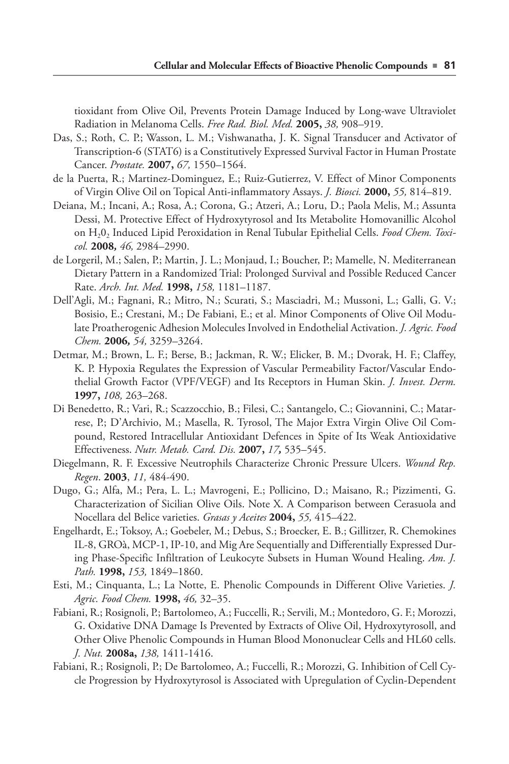tioxidant from Olive Oil, Prevents Protein Damage Induced by Long-wave Ultraviolet Radiation in Melanoma Cells. *Free Rad. Biol. Med.* **2005,** *38,* 908–919.

- Das, S.; Roth, C. P.; Wasson, L. M.; Vishwanatha, J. K. Signal Transducer and Activator of Transcription-6 (STAT6) is a Constitutively Expressed Survival Factor in Human Prostate Cancer. *Prostate.* **2007,** *67,* 1550–1564.
- de la Puerta, R.; Martinez-Dominguez, E.; Ruiz-Gutierrez, V. Effect of Minor Components of Virgin Olive Oil on Topical Anti-inflammatory Assays. *J. Biosci.* **2000,** *55,* 814–819.
- Deiana, M.; Incani, A.; Rosa, A.; Corona, G.; Atzeri, A.; Loru, D.; Paola Melis, M.; Assunta Dessi, M. Protective Effect of Hydroxytyrosol and Its Metabolite Homovanillic Alcohol on H202 Induced Lipid Peroxidation in Renal Tubular Epithelial Cells. *Food Chem. Toxicol.* **2008***, 46,* 2984–2990.
- de Lorgeril, M.; Salen, P.; Martin, J. L.; Monjaud, I.; Boucher, P.; Mamelle, N. Mediterranean Dietary Pattern in a Randomized Trial: Prolonged Survival and Possible Reduced Cancer Rate. *Arch. Int. Med.* **1998,** *158,* 1181–1187.
- Dell'Agli, M.; Fagnani, R.; Mitro, N.; Scurati, S.; Masciadri, M.; Mussoni, L.; Galli, G. V.; Bosisio, E.; Crestani, M.; De Fabiani, E.; et al. Minor Components of Olive Oil Modulate Proatherogenic Adhesion Molecules Involved in Endothelial Activation. *J. Agric. Food Chem.* **2006***, 54,* 3259–3264.
- Detmar, M.; Brown, L. F.; Berse, B.; Jackman, R. W.; Elicker, B. M.; Dvorak, H. F.; Claffey, K. P. Hypoxia Regulates the Expression of Vascular Permeability Factor/Vascular Endothelial Growth Factor (VPF/VEGF) and Its Receptors in Human Skin. *J. Invest. Derm.* **1997,** *108,* 263–268.
- Di Benedetto, R.; Vari, R.; Scazzocchio, B.; Filesi, C.; Santangelo, C.; Giovannini, C.; Matarrese, P.; D'Archivio, M.; Masella, R. Tyrosol, The Major Extra Virgin Olive Oil Compound, Restored Intracellular Antioxidant Defences in Spite of Its Weak Antioxidative Effectiveness. *Nutr. Metab. Card. Dis.* **2007,** *17,* 535–545.
- Diegelmann, R. F. Excessive Neutrophils Characterize Chronic Pressure Ulcers. *Wound Rep. Regen*. **2003**, *11,* 484-490.
- Dugo, G.; Alfa, M.; Pera, L. L.; Mavrogeni, E.; Pollicino, D.; Maisano, R.; Pizzimenti, G. Characterization of Sicilian Olive Oils. Note X. A Comparison between Cerasuola and Nocellara del Belice varieties. *Grasas y Aceites* **2004,** *55,* 415–422.
- Engelhardt, E.; Toksoy, A.; Goebeler, M.; Debus, S.; Broecker, E. B.; Gillitzer, R. Chemokines IL-8, GROà, MCP-1, IP-10, and Mig Are Sequentially and Differentially Expressed During Phase-Specific Infiltration of Leukocyte Subsets in Human Wound Healing. *Am. J. Path.* **1998,** *153,* 1849–1860.
- Esti, M.; Cinquanta, L.; La Notte, E. Phenolic Compounds in Different Olive Varieties. *J. Agric. Food Chem.* **1998,** *46,* 32–35.
- Fabiani, R.; Rosignoli, P.; Bartolomeo, A.; Fuccelli, R.; Servili, M.; Montedoro, G. F.; Morozzi, G. Oxidative DNA Damage Is Prevented by Extracts of Olive Oil, Hydroxytyrosoll, and Other Olive Phenolic Compounds in Human Blood Mononuclear Cells and HL60 cells. *J. Nut.* **2008a,** *138,* 1411-1416.
- Fabiani, R.; Rosignoli, P.; De Bartolomeo, A.; Fuccelli, R.; Morozzi, G. Inhibition of Cell Cycle Progression by Hydroxytyrosol is Associated with Upregulation of Cyclin-Dependent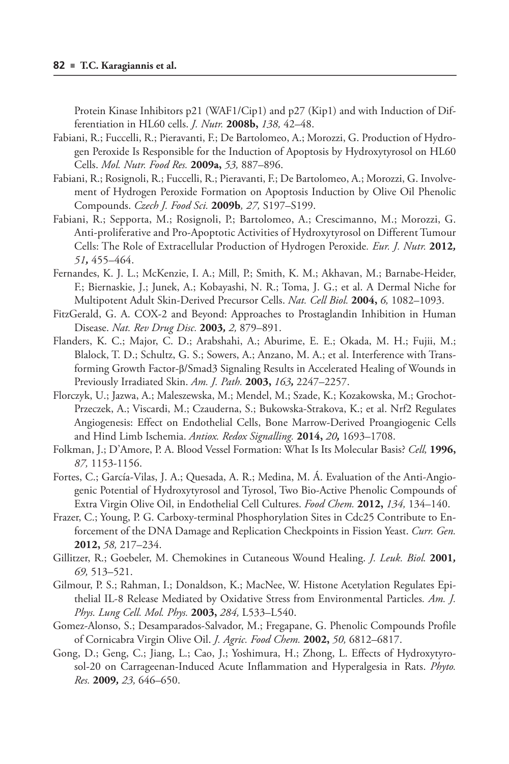Protein Kinase Inhibitors p21 (WAF1/Cip1) and p27 (Kip1) and with Induction of Differentiation in HL60 cells. *J. Nutr.* **2008b,** *138,* 42–48.

- Fabiani, R.; Fuccelli, R.; Pieravanti, F.; De Bartolomeo, A.; Morozzi, G. Production of Hydrogen Peroxide Is Responsible for the Induction of Apoptosis by Hydroxytyrosol on HL60 Cells. *Mol. Nutr. Food Res.* **2009a,** *53,* 887–896.
- Fabiani, R.; Rosignoli, R.; Fuccelli, R.; Pieravanti, F.; De Bartolomeo, A.; Morozzi, G. Involvement of Hydrogen Peroxide Formation on Apoptosis Induction by Olive Oil Phenolic Compounds. *Czech J. Food Sci.* **2009b***, 27,* S197–S199.
- Fabiani, R.; Sepporta, M.; Rosignoli, P.; Bartolomeo, A.; Crescimanno, M.; Morozzi, G. Anti-proliferative and Pro-Apoptotic Activities of Hydroxytyrosol on Different Tumour Cells: The Role of Extracellular Production of Hydrogen Peroxide*. Eur. J. Nutr.* **2012***, 51,* 455–464.
- Fernandes, K. J. L.; McKenzie, I. A.; Mill, P.; Smith, K. M.; Akhavan, M.; Barnabe-Heider, F.; Biernaskie, J.; Junek, A.; Kobayashi, N. R.; Toma, J. G.; et al. A Dermal Niche for Multipotent Adult Skin-Derived Precursor Cells. *Nat. Cell Biol.* **2004,** *6,* 1082–1093.
- FitzGerald, G. A. COX-2 and Beyond: Approaches to Prostaglandin Inhibition in Human Disease. *Nat. Rev Drug Disc.* **2003***, 2,* 879–891.
- Flanders, K. C.; Major, C. D.; Arabshahi, A.; Aburime, E. E.; Okada, M. H.; Fujii, M.; Blalock, T. D.; Schultz, G. S.; Sowers, A.; Anzano, M. A.; et al. Interference with Transforming Growth Factor-β/Smad3 Signaling Results in Accelerated Healing of Wounds in Previously Irradiated Skin. *Am. J. Path.* **2003,** *163,* 2247–2257.
- Florczyk, U.; Jazwa, A.; Maleszewska, M.; Mendel, M.; Szade, K.; Kozakowska, M.; Grochot-Przeczek, A.; Viscardi, M.; Czauderna, S.; Bukowska-Strakova, K.; et al. Nrf2 Regulates Angiogenesis: Effect on Endothelial Cells, Bone Marrow-Derived Proangiogenic Cells and Hind Limb Ischemia. *Antiox. Redox Signalling.* **2014,** *20,* 1693–1708.
- Folkman, J.; D'Amore, P. A. Blood Vessel Formation: What Is Its Molecular Basis? *Cell,* **1996,** *87,* 1153-1156.
- Fortes, C.; García-Vilas, J. A.; Quesada, A. R.; Medina, M. Á. Evaluation of the Anti-Angiogenic Potential of Hydroxytyrosol and Tyrosol, Two Bio-Active Phenolic Compounds of Extra Virgin Olive Oil, in Endothelial Cell Cultures. *Food Chem.* **2012,** *134,* 134–140.
- Frazer, C.; Young, P. G. Carboxy-terminal Phosphorylation Sites in Cdc25 Contribute to Enforcement of the DNA Damage and Replication Checkpoints in Fission Yeast. *Curr. Gen.* **2012,** *58,* 217–234.
- Gillitzer, R.; Goebeler, M. Chemokines in Cutaneous Wound Healing. *J. Leuk. Biol.* **2001***, 69,* 513–521.
- Gilmour, P. S.; Rahman, I.; Donaldson, K.; MacNee, W. Histone Acetylation Regulates Epithelial IL-8 Release Mediated by Oxidative Stress from Environmental Particles*. Am. J. Phys. Lung Cell. Mol. Phys.* **2003,** *284,* L533–L540.
- Gomez-Alonso, S.; Desamparados-Salvador, M.; Fregapane, G. Phenolic Compounds Profile of Cornicabra Virgin Olive Oil. *J. Agric. Food Chem.* **2002,** *50,* 6812–6817.
- Gong, D.; Geng, C.; Jiang, L.; Cao, J.; Yoshimura, H.; Zhong, L. Effects of Hydroxytyrosol-20 on Carrageenan-Induced Acute Inflammation and Hyperalgesia in Rats. *Phyto. Res.* **2009***, 23,* 646–650.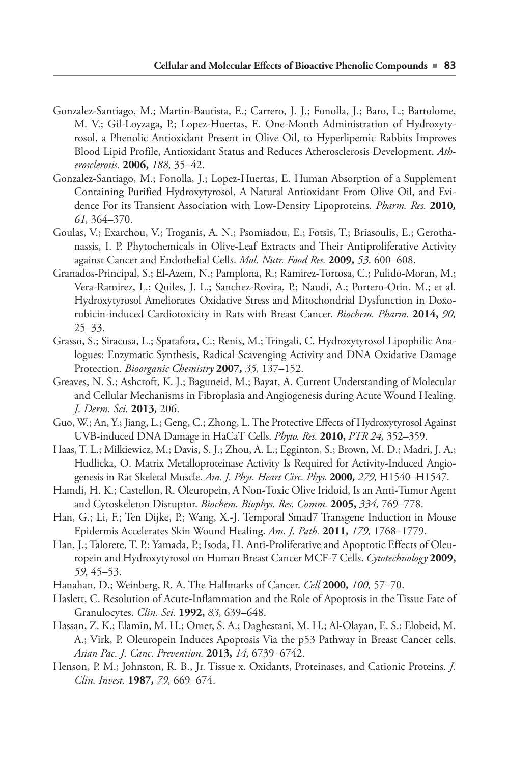- Gonzalez-Santiago, M.; Martin-Bautista, E.; Carrero, J. J.; Fonolla, J.; Baro, L.; Bartolome, M. V.; Gil-Loyzaga, P.; Lopez-Huertas, E. One-Month Administration of Hydroxytyrosol, a Phenolic Antioxidant Present in Olive Oil, to Hyperlipemic Rabbits Improves Blood Lipid Profile, Antioxidant Status and Reduces Atherosclerosis Development. *Atherosclerosis.* **2006,** *188,* 35–42.
- Gonzalez-Santiago, M.; Fonolla, J.; Lopez-Huertas, E. Human Absorption of a Supplement Containing Purified Hydroxytyrosol, A Natural Antioxidant From Olive Oil, and Evidence For its Transient Association with Low-Density Lipoproteins. *Pharm. Res.* **2010***, 61,* 364–370.
- Goulas, V.; Exarchou, V.; Troganis, A. N.; Psomiadou, E.; Fotsis, T.; Briasoulis, E.; Gerothanassis, I. P. Phytochemicals in Olive-Leaf Extracts and Their Antiproliferative Activity against Cancer and Endothelial Cells. *Mol. Nutr. Food Res.* **2009***, 53,* 600–608.
- Granados-Principal, S.; El-Azem, N.; Pamplona, R.; Ramirez-Tortosa, C.; Pulido-Moran, M.; Vera-Ramirez, L.; Quiles, J. L.; Sanchez-Rovira, P.; Naudi, A.; Portero-Otin, M.; et al. Hydroxytyrosol Ameliorates Oxidative Stress and Mitochondrial Dysfunction in Doxorubicin-induced Cardiotoxicity in Rats with Breast Cancer. *Biochem. Pharm.* **2014,** *90,* 25–33.
- Grasso, S.; Siracusa, L.; Spatafora, C.; Renis, M.; Tringali, C. Hydroxytyrosol Lipophilic Analogues: Enzymatic Synthesis, Radical Scavenging Activity and DNA Oxidative Damage Protection. *Bioorganic Chemistry* **2007***, 35,* 137–152.
- Greaves, N. S.; Ashcroft, K. J.; Baguneid, M.; Bayat, A. Current Understanding of Molecular and Cellular Mechanisms in Fibroplasia and Angiogenesis during Acute Wound Healing. *J. Derm. Sci.* **2013***,* 206.
- Guo, W.; An, Y.; Jiang, L.; Geng, C.; Zhong, L. The Protective Effects of Hydroxytyrosol Against UVB-induced DNA Damage in HaCaT Cells. *Phyto. Res.* **2010,** *PTR 24,* 352–359.
- Haas, T. L.; Milkiewicz, M.; Davis, S. J.; Zhou, A. L.; Egginton, S.; Brown, M. D.; Madri, J. A.; Hudlicka, O. Matrix Metalloproteinase Activity Is Required for Activity-Induced Angiogenesis in Rat Skeletal Muscle. *Am. J. Phys. Heart Circ. Phys.* **2000***, 279,* H1540–H1547.
- Hamdi, H. K.; Castellon, R. Oleuropein, A Non-Toxic Olive Iridoid, Is an Anti-Tumor Agent and Cytoskeleton Disruptor. *Biochem. Biophys. Res. Comm.* **2005,** *334,* 769–778.
- Han, G.; Li, F.; Ten Dijke, P.; Wang, X.-J. Temporal Smad7 Transgene Induction in Mouse Epidermis Accelerates Skin Wound Healing. *Am. J. Path.* **2011***, 179,* 1768–1779.
- Han, J.; Talorete, T. P.; Yamada, P.; Isoda, H. Anti-Proliferative and Apoptotic Effects of Oleuropein and Hydroxytyrosol on Human Breast Cancer MCF-7 Cells. *Cytotechnology* **2009,** *59,* 45–53.
- Hanahan, D.; Weinberg, R. A. The Hallmarks of Cancer. *Cell* **2000***, 100,* 57–70.
- Haslett, C. Resolution of Acute-Inflammation and the Role of Apoptosis in the Tissue Fate of Granulocytes. *Clin. Sci.* **1992,** *83,* 639–648.
- Hassan, Z. K.; Elamin, M. H.; Omer, S. A.; Daghestani, M. H.; Al-Olayan, E. S.; Elobeid, M. A.; Virk, P. Oleuropein Induces Apoptosis Via the p53 Pathway in Breast Cancer cells. *Asian Pac. J. Canc. Prevention.* **2013***, 14,* 6739–6742.
- Henson, P. M.; Johnston, R. B., Jr. Tissue x. Oxidants, Proteinases, and Cationic Proteins. *J. Clin. Invest.* **1987***, 79,* 669–674.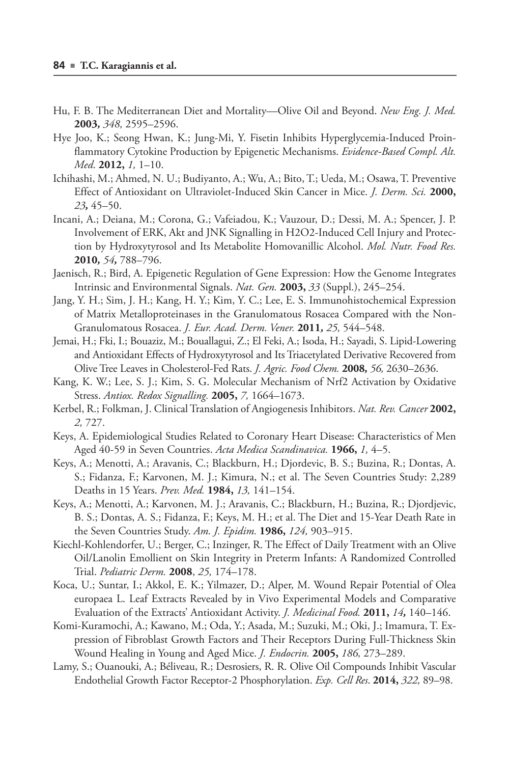- Hu, F. B. The Mediterranean Diet and Mortality—Olive Oil and Beyond. *New Eng. J. Med.* **2003***, 348,* 2595–2596.
- Hye Joo, K.; Seong Hwan, K.; Jung-Mi, Y. Fisetin Inhibits Hyperglycemia-Induced Proinflammatory Cytokine Production by Epigenetic Mechanisms. *Evidence-Based Compl. Alt. Med*. **2012,** *1,* 1–10.
- Ichihashi, M.; Ahmed, N. U.; Budiyanto, A.; Wu, A.; Bito, T.; Ueda, M.; Osawa, T. Preventive Effect of Antioxidant on Ultraviolet-Induced Skin Cancer in Mice. *J. Derm. Sci.* **2000,** *23,* 45–50.
- Incani, A.; Deiana, M.; Corona, G.; Vafeiadou, K.; Vauzour, D.; Dessi, M. A.; Spencer, J. P. Involvement of ERK, Akt and JNK Signalling in H2O2-Induced Cell Injury and Protection by Hydroxytyrosol and Its Metabolite Homovanillic Alcohol. *Mol. Nutr. Food Res.* **2010***, 54,* 788–796.
- Jaenisch, R.; Bird, A. Epigenetic Regulation of Gene Expression: How the Genome Integrates Intrinsic and Environmental Signals. *Nat. Gen.* **2003,** *33* (Suppl.), 245–254.
- Jang, Y. H.; Sim, J. H.; Kang, H. Y.; Kim, Y. C.; Lee, E. S. Immunohistochemical Expression of Matrix Metalloproteinases in the Granulomatous Rosacea Compared with the Non-Granulomatous Rosacea. *J. Eur. Acad. Derm. Vener.* **2011***, 25,* 544–548.
- Jemai, H.; Fki, I.; Bouaziz, M.; Bouallagui, Z.; El Feki, A.; Isoda, H.; Sayadi, S. Lipid-Lowering and Antioxidant Effects of Hydroxytyrosol and Its Triacetylated Derivative Recovered from Olive Tree Leaves in Cholesterol-Fed Rats. *J. Agric. Food Chem.* **2008***, 56,* 2630–2636.
- Kang, K. W.; Lee, S. J.; Kim, S. G. Molecular Mechanism of Nrf2 Activation by Oxidative Stress. *Antiox. Redox Signalling.* **2005,** *7,* 1664–1673.
- Kerbel, R.; Folkman, J. Clinical Translation of Angiogenesis Inhibitors. *Nat. Rev. Cancer* **2002,**  *2,* 727.
- Keys, A. Epidemiological Studies Related to Coronary Heart Disease: Characteristics of Men Aged 40-59 in Seven Countries. *Acta Medica Scandinavica.* **1966,** *1,* 4–5.
- Keys, A.; Menotti, A.; Aravanis, C.; Blackburn, H.; Djordevic, B. S.; Buzina, R.; Dontas, A. S.; Fidanza, F.; Karvonen, M. J.; Kimura, N.; et al. The Seven Countries Study: 2,289 Deaths in 15 Years. *Prev. Med.* **1984,** *13,* 141–154.
- Keys, A.; Menotti, A.; Karvonen, M. J.; Aravanis, C.; Blackburn, H.; Buzina, R.; Djordjevic, B. S.; Dontas, A. S.; Fidanza, F.; Keys, M. H.; et al. The Diet and 15-Year Death Rate in the Seven Countries Study. *Am. J. Epidim.* **1986,** *124,* 903–915.
- Kiechl-Kohlendorfer, U.; Berger, C.; Inzinger, R. The Effect of Daily Treatment with an Olive Oil/Lanolin Emollient on Skin Integrity in Preterm Infants: A Randomized Controlled Trial. *Pediatric Derm.* **2008**, *25,* 174–178.
- Koca, U.; Suntar, I.; Akkol, E. K.; Yilmazer, D.; Alper, M. Wound Repair Potential of Olea europaea L. Leaf Extracts Revealed by in Vivo Experimental Models and Comparative Evaluation of the Extracts' Antioxidant Activity. *J. Medicinal Food.* **2011,** *14,* 140–146.
- Komi-Kuramochi, A.; Kawano, M.; Oda, Y.; Asada, M.; Suzuki, M.; Oki, J.; Imamura, T. Expression of Fibroblast Growth Factors and Their Receptors During Full-Thickness Skin Wound Healing in Young and Aged Mice. *J. Endocrin.* **2005,** *186,* 273–289.
- Lamy, S.; Ouanouki, A.; Béliveau, R.; Desrosiers, R. R. Olive Oil Compounds Inhibit Vascular Endothelial Growth Factor Receptor-2 Phosphorylation. *Exp. Cell Res*. **2014,** *322,* 89–98.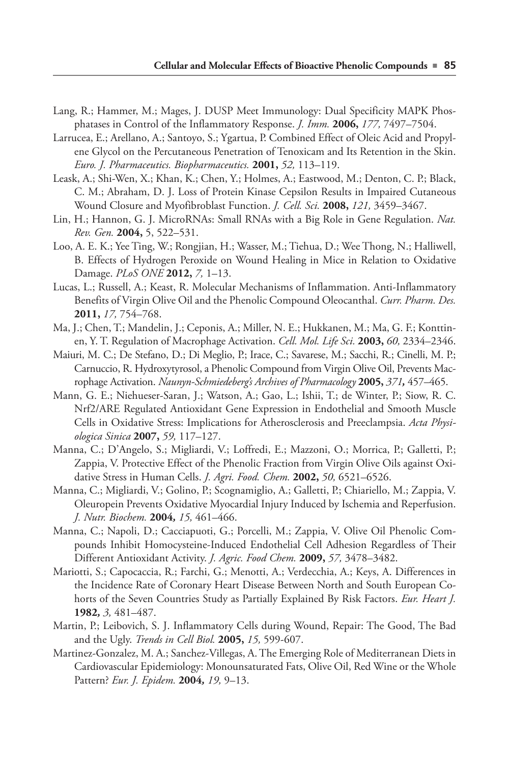- Lang, R.; Hammer, M.; Mages, J. DUSP Meet Immunology: Dual Specificity MAPK Phosphatases in Control of the Inflammatory Response. *J. Imm.* **2006,** *177,* 7497–7504.
- Larrucea, E.; Arellano, A.; Santoyo, S.; Ygartua, P. Combined Effect of Oleic Acid and Propylene Glycol on the Percutaneous Penetration of Tenoxicam and Its Retention in the Skin. *Euro. J. Pharmaceutics. Biopharmaceutics.* **2001,** *52,* 113–119.
- Leask, A.; Shi-Wen, X.; Khan, K.; Chen, Y.; Holmes, A.; Eastwood, M.; Denton, C. P.; Black, C. M.; Abraham, D. J. Loss of Protein Kinase Cepsilon Results in Impaired Cutaneous Wound Closure and Myofibroblast Function. *J. Cell. Sci.* **2008,** *121,* 3459–3467.
- Lin, H.; Hannon, G. J. MicroRNAs: Small RNAs with a Big Role in Gene Regulation. *Nat. Rev. Gen.* **2004,** 5, 522–531.
- Loo, A. E. K.; Yee Ting, W.; Rongjian, H.; Wasser, M.; Tiehua, D.; Wee Thong, N.; Halliwell, B. Effects of Hydrogen Peroxide on Wound Healing in Mice in Relation to Oxidative Damage. *PLoS ONE* **2012,** *7,* 1–13.
- Lucas, L.; Russell, A.; Keast, R. Molecular Mechanisms of Inflammation. Anti-Inflammatory Benefits of Virgin Olive Oil and the Phenolic Compound Oleocanthal. *Curr. Pharm. Des.* **2011,** *17,* 754–768.
- Ma, J.; Chen, T.; Mandelin, J.; Ceponis, A.; Miller, N. E.; Hukkanen, M.; Ma, G. F.; Konttinen, Y. T. Regulation of Macrophage Activation. *Cell. Mol. Life Sci.* **2003,** *60,* 2334–2346.
- Maiuri, M. C.; De Stefano, D.; Di Meglio, P.; Irace, C.; Savarese, M.; Sacchi, R.; Cinelli, M. P.; Carnuccio, R. Hydroxytyrosol, a Phenolic Compound from Virgin Olive Oil, Prevents Macrophage Activation. *Naunyn-Schmiedeberg's Archives of Pharmacology* **2005,** *371,* 457–465.
- Mann, G. E.; Niehueser-Saran, J.; Watson, A.; Gao, L.; Ishii, T.; de Winter, P.; Siow, R. C. Nrf2/ARE Regulated Antioxidant Gene Expression in Endothelial and Smooth Muscle Cells in Oxidative Stress: Implications for Atherosclerosis and Preeclampsia. *Acta Physiologica Sinica* **2007,** *59,* 117–127.
- Manna, C.; D'Angelo, S.; Migliardi, V.; Loffredi, E.; Mazzoni, O.; Morrica, P.; Galletti, P.; Zappia, V. Protective Effect of the Phenolic Fraction from Virgin Olive Oils against Oxidative Stress in Human Cells. *J. Agri. Food. Chem.* **2002,** *50,* 6521–6526.
- Manna, C.; Migliardi, V.; Golino, P.; Scognamiglio, A.; Galletti, P.; Chiariello, M.; Zappia, V. Oleuropein Prevents Oxidative Myocardial Injury Induced by Ischemia and Reperfusion. *J. Nutr. Biochem.* **2004***, 15,* 461–466.
- Manna, C.; Napoli, D.; Cacciapuoti, G.; Porcelli, M.; Zappia, V. Olive Oil Phenolic Compounds Inhibit Homocysteine-Induced Endothelial Cell Adhesion Regardless of Their Different Antioxidant Activity. *J. Agric. Food Chem.* **2009,** *57,* 3478–3482.
- Mariotti, S.; Capocaccia, R.; Farchi, G.; Menotti, A.; Verdecchia, A.; Keys, A. Differences in the Incidence Rate of Coronary Heart Disease Between North and South European Cohorts of the Seven Countries Study as Partially Explained By Risk Factors. *Eur. Heart J.* **1982***, 3,* 481–487.
- Martin, P.; Leibovich, S. J. Inflammatory Cells during Wound, Repair: The Good, The Bad and the Ugly. *Trends in Cell Biol.* **2005,** *15,* 599-607.
- Martinez-Gonzalez, M. A.; Sanchez-Villegas, A. The Emerging Role of Mediterranean Diets in Cardiovascular Epidemiology: Monounsaturated Fats, Olive Oil, Red Wine or the Whole Pattern? *Eur. J. Epidem.* **2004***, 19,* 9–13.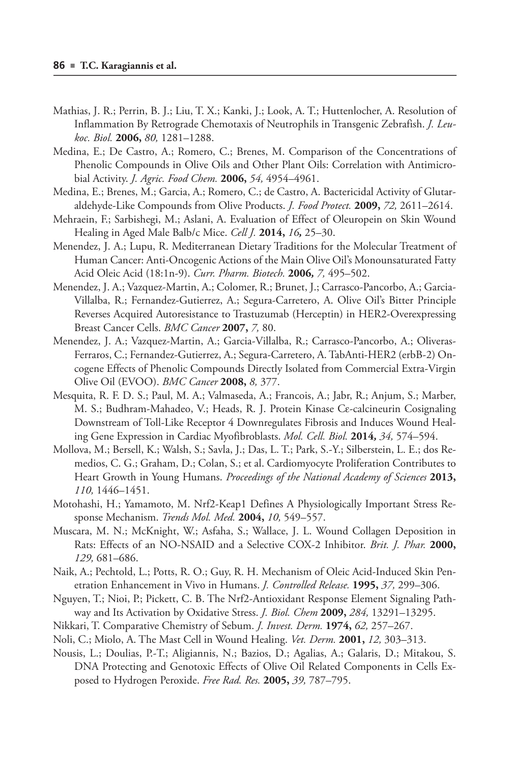- Mathias, J. R.; Perrin, B. J.; Liu, T. X.; Kanki, J.; Look, A. T.; Huttenlocher, A. Resolution of Inflammation By Retrograde Chemotaxis of Neutrophils in Transgenic Zebrafish. *J. Leukoc. Biol.* **2006,** *80,* 1281–1288.
- Medina, E.; De Castro, A.; Romero, C.; Brenes, M. Comparison of the Concentrations of Phenolic Compounds in Olive Oils and Other Plant Oils: Correlation with Antimicrobial Activity. *J. Agric. Food Chem.* **2006,** *54,* 4954–4961.
- Medina, E.; Brenes, M.; Garcia, A.; Romero, C.; de Castro, A. Bactericidal Activity of Glutaraldehyde-Like Compounds from Olive Products. *J. Food Protect.* **2009,** *72,* 2611–2614.
- Mehraein, F.; Sarbishegi, M.; Aslani, A. Evaluation of Effect of Oleuropein on Skin Wound Healing in Aged Male Balb/c Mice. *Cell J.* **2014,** *16,* 25–30.
- Menendez, J. A.; Lupu, R. Mediterranean Dietary Traditions for the Molecular Treatment of Human Cancer: Anti-Oncogenic Actions of the Main Olive Oil's Monounsaturated Fatty Acid Oleic Acid (18:1n-9). *Curr. Pharm. Biotech.* **2006***, 7,* 495–502.
- Menendez, J. A.; Vazquez-Martin, A.; Colomer, R.; Brunet, J.; Carrasco-Pancorbo, A.; Garcia-Villalba, R.; Fernandez-Gutierrez, A.; Segura-Carretero, A. Olive Oil's Bitter Principle Reverses Acquired Autoresistance to Trastuzumab (Herceptin) in HER2-Overexpressing Breast Cancer Cells. *BMC Cancer* **2007,** *7,* 80.
- Menendez, J. A.; Vazquez-Martin, A.; Garcia-Villalba, R.; Carrasco-Pancorbo, A.; Oliveras-Ferraros, C.; Fernandez-Gutierrez, A.; Segura-Carretero, A. TabAnti-HER2 (erbB-2) Oncogene Effects of Phenolic Compounds Directly Isolated from Commercial Extra-Virgin Olive Oil (EVOO). *BMC Cancer* **2008,** *8,* 377.
- Mesquita, R. F. D. S.; Paul, M. A.; Valmaseda, A.; Francois, A.; Jabr, R.; Anjum, S.; Marber, M. S.; Budhram-Mahadeo, V.; Heads, R. J. Protein Kinase Cε-calcineurin Cosignaling Downstream of Toll-Like Receptor 4 Downregulates Fibrosis and Induces Wound Healing Gene Expression in Cardiac Myofibroblasts. *Mol. Cell. Biol.* **2014***, 34,* 574–594.
- Mollova, M.; Bersell, K.; Walsh, S.; Savla, J.; Das, L. T.; Park, S.-Y.; Silberstein, L. E.; dos Remedios, C. G.; Graham, D.; Colan, S.; et al. Cardiomyocyte Proliferation Contributes to Heart Growth in Young Humans. *Proceedings of the National Academy of Sciences* **2013,** *110,* 1446–1451.
- Motohashi, H.; Yamamoto, M. Nrf2-Keap1 Defines A Physiologically Important Stress Response Mechanism. *Trends Mol. Med.* **2004,** *10,* 549–557.
- Muscara, M. N.; McKnight, W.; Asfaha, S.; Wallace, J. L. Wound Collagen Deposition in Rats: Effects of an NO-NSAID and a Selective COX-2 Inhibitor. *Brit. J. Phar.* **2000,** *129,* 681–686.
- Naik, A.; Pechtold, L.; Potts, R. O.; Guy, R. H. Mechanism of Oleic Acid-Induced Skin Penetration Enhancement in Vivo in Humans. *J. Controlled Release.* **1995,** *37,* 299–306.
- Nguyen, T.; Nioi, P.; Pickett, C. B. The Nrf2-Antioxidant Response Element Signaling Pathway and Its Activation by Oxidative Stress. *J. Biol. Chem* **2009,** *284,* 13291–13295.
- Nikkari, T. Comparative Chemistry of Sebum. *J. Invest. Derm.* **1974,** *62,* 257–267.
- Noli, C.; Miolo, A. The Mast Cell in Wound Healing. *Vet. Derm.* **2001,** *12,* 303–313.
- Nousis, L.; Doulias, P.-T.; Aligiannis, N.; Bazios, D.; Agalias, A.; Galaris, D.; Mitakou, S. DNA Protecting and Genotoxic Effects of Olive Oil Related Components in Cells Exposed to Hydrogen Peroxide. *Free Rad. Res.* **2005,** *39,* 787–795.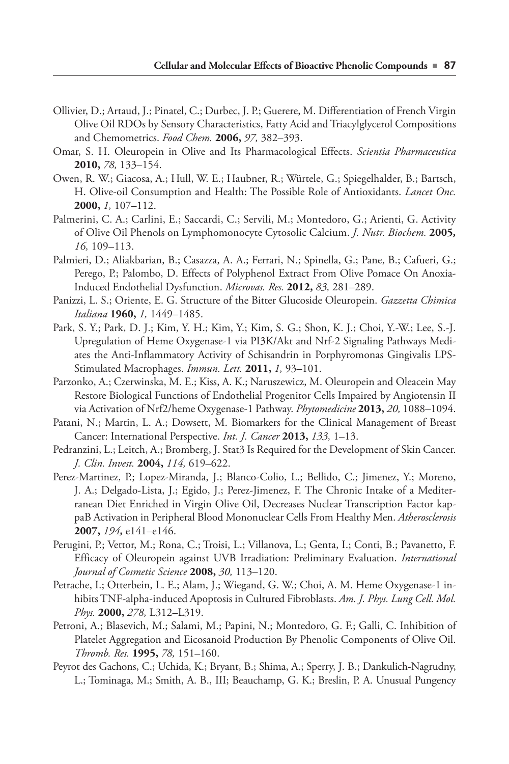- Ollivier, D.; Artaud, J.; Pinatel, C.; Durbec, J. P.; Guerere, M. Differentiation of French Virgin Olive Oil RDOs by Sensory Characteristics, Fatty Acid and Triacylglycerol Compositions and Chemometrics. *Food Chem.* **2006,** *97,* 382–393.
- Omar, S. H. Oleuropein in Olive and Its Pharmacological Effects. *Scientia Pharmaceutica* **2010,** *78,* 133–154.
- Owen, R. W.; Giacosa, A.; Hull, W. E.; Haubner, R.; Würtele, G.; Spiegelhalder, B.; Bartsch, H. Olive-oil Consumption and Health: The Possible Role of Antioxidants. *Lancet Onc.* **2000,** *1,* 107–112.
- Palmerini, C. A.; Carlini, E.; Saccardi, C.; Servili, M.; Montedoro, G.; Arienti, G. Activity of Olive Oil Phenols on Lymphomonocyte Cytosolic Calcium. *J. Nutr. Biochem.* **2005***, 16,* 109–113.
- Palmieri, D.; Aliakbarian, B.; Casazza, A. A.; Ferrari, N.; Spinella, G.; Pane, B.; Cafueri, G.; Perego, P.; Palombo, D. Effects of Polyphenol Extract From Olive Pomace On Anoxia-Induced Endothelial Dysfunction. *Microvas. Res.* **2012,** *83,* 281–289.
- Panizzi, L. S.; Oriente, E. G. Structure of the Bitter Glucoside Oleuropein. *Gazzetta Chimica Italiana* **1960,** *1,* 1449–1485.
- Park, S. Y.; Park, D. J.; Kim, Y. H.; Kim, Y.; Kim, S. G.; Shon, K. J.; Choi, Y.-W.; Lee, S.-J. Upregulation of Heme Oxygenase-1 via PI3K/Akt and Nrf-2 Signaling Pathways Mediates the Anti-Inflammatory Activity of Schisandrin in Porphyromonas Gingivalis LPS-Stimulated Macrophages. *Immun. Lett.* **2011,** *1,* 93–101.
- Parzonko, A.; Czerwinska, M. E.; Kiss, A. K.; Naruszewicz, M. Oleuropein and Oleacein May Restore Biological Functions of Endothelial Progenitor Cells Impaired by Angiotensin II via Activation of Nrf2/heme Oxygenase-1 Pathway. *Phytomedicine* **2013,** *20,* 1088–1094.
- Patani, N.; Martin, L. A.; Dowsett, M. Biomarkers for the Clinical Management of Breast Cancer: International Perspective. *Int. J. Cancer* **2013,** *133,* 1–13.
- Pedranzini, L.; Leitch, A.; Bromberg, J. Stat3 Is Required for the Development of Skin Cancer. *J. Clin. Invest.* **2004,** *114,* 619–622.
- Perez-Martinez, P.; Lopez-Miranda, J.; Blanco-Colio, L.; Bellido, C.; Jimenez, Y.; Moreno, J. A.; Delgado-Lista, J.; Egido, J.; Perez-Jimenez, F. The Chronic Intake of a Mediterranean Diet Enriched in Virgin Olive Oil, Decreases Nuclear Transcription Factor kappaB Activation in Peripheral Blood Mononuclear Cells From Healthy Men. *Atherosclerosis* **2007,** *194,* e141–e146.
- Perugini, P.; Vettor, M.; Rona, C.; Troisi, L.; Villanova, L.; Genta, I.; Conti, B.; Pavanetto, F. Efficacy of Oleuropein against UVB Irradiation: Preliminary Evaluation. *International Journal of Cosmetic Science* **2008,** *30,* 113–120.
- Petrache, I.; Otterbein, L. E.; Alam, J.; Wiegand, G. W.; Choi, A. M. Heme Oxygenase-1 inhibits TNF-alpha-induced Apoptosis in Cultured Fibroblasts. *Am. J. Phys. Lung Cell. Mol. Phys.* **2000,** *278,* L312–L319.
- Petroni, A.; Blasevich, M.; Salami, M.; Papini, N.; Montedoro, G. F.; Galli, C. Inhibition of Platelet Aggregation and Eicosanoid Production By Phenolic Components of Olive Oil. *Thromb. Res.* **1995,** *78,* 151–160.
- Peyrot des Gachons, C.; Uchida, K.; Bryant, B.; Shima, A.; Sperry, J. B.; Dankulich-Nagrudny, L.; Tominaga, M.; Smith, A. B., III; Beauchamp, G. K.; Breslin, P. A. Unusual Pungency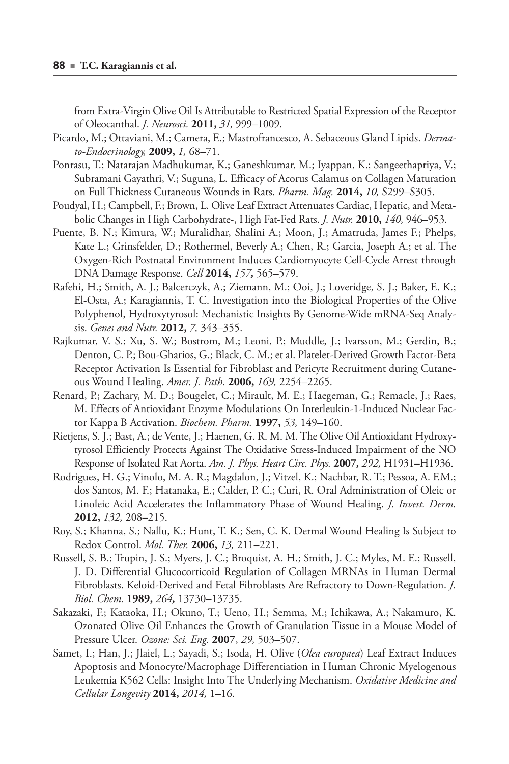from Extra-Virgin Olive Oil Is Attributable to Restricted Spatial Expression of the Receptor of Oleocanthal. *J. Neurosci.* **2011,** *31,* 999–1009.

- Picardo, M.; Ottaviani, M.; Camera, E.; Mastrofrancesco, A. Sebaceous Gland Lipids. *Dermato-Endocrinology,* **2009,** *1,* 68–71.
- Ponrasu, T.; Natarajan Madhukumar, K.; Ganeshkumar, M.; Iyappan, K.; Sangeethapriya, V.; Subramani Gayathri, V.; Suguna, L. Efficacy of Acorus Calamus on Collagen Maturation on Full Thickness Cutaneous Wounds in Rats. *Pharm. Mag.* **2014,** *10,* S299–S305.
- Poudyal, H.; Campbell, F.; Brown, L. Olive Leaf Extract Attenuates Cardiac, Hepatic, and Metabolic Changes in High Carbohydrate-, High Fat-Fed Rats. *J. Nutr.* **2010,** *140,* 946–953.
- Puente, B. N.; Kimura, W.; Muralidhar, Shalini A.; Moon, J.; Amatruda, James F.; Phelps, Kate L.; Grinsfelder, D.; Rothermel, Beverly A.; Chen, R.; Garcia, Joseph A.; et al. The Oxygen-Rich Postnatal Environment Induces Cardiomyocyte Cell-Cycle Arrest through DNA Damage Response. *Cell* **2014,** *157,* 565–579.
- Rafehi, H.; Smith, A. J.; Balcerczyk, A.; Ziemann, M.; Ooi, J.; Loveridge, S. J.; Baker, E. K.; El-Osta, A.; Karagiannis, T. C. Investigation into the Biological Properties of the Olive Polyphenol, Hydroxytyrosol: Mechanistic Insights By Genome-Wide mRNA-Seq Analysis. *Genes and Nutr.* **2012,** *7,* 343–355.
- Rajkumar, V. S.; Xu, S. W.; Bostrom, M.; Leoni, P.; Muddle, J.; Ivarsson, M.; Gerdin, B.; Denton, C. P.; Bou-Gharios, G.; Black, C. M.; et al. Platelet-Derived Growth Factor-Beta Receptor Activation Is Essential for Fibroblast and Pericyte Recruitment during Cutaneous Wound Healing. *Amer. J. Path.* **2006,** *169,* 2254–2265.
- Renard, P.; Zachary, M. D.; Bougelet, C.; Mirault, M. E.; Haegeman, G.; Remacle, J.; Raes, M. Effects of Antioxidant Enzyme Modulations On Interleukin-1-Induced Nuclear Factor Kappa B Activation. *Biochem. Pharm.* **1997,** *53,* 149–160.
- Rietjens, S. J.; Bast, A.; de Vente, J.; Haenen, G. R. M. M. The Olive Oil Antioxidant Hydroxytyrosol Efficiently Protects Against The Oxidative Stress-Induced Impairment of the NO Response of Isolated Rat Aorta. *Am. J. Phys. Heart Circ. Phys.* **2007***, 292,* H1931–H1936.
- Rodrigues, H. G.; Vinolo, M. A. R.; Magdalon, J.; Vitzel, K.; Nachbar, R. T.; Pessoa, A. F.M.; dos Santos, M. F.; Hatanaka, E.; Calder, P. C.; Curi, R. Oral Administration of Oleic or Linoleic Acid Accelerates the Inflammatory Phase of Wound Healing. *J. Invest. Derm.* **2012,** *132,* 208–215.
- Roy, S.; Khanna, S.; Nallu, K.; Hunt, T. K.; Sen, C. K. Dermal Wound Healing Is Subject to Redox Control. *Mol. Ther.* **2006,** *13,* 211–221.
- Russell, S. B.; Trupin, J. S.; Myers, J. C.; Broquist, A. H.; Smith, J. C.; Myles, M. E.; Russell, J. D. Differential Glucocorticoid Regulation of Collagen MRNAs in Human Dermal Fibroblasts. Keloid-Derived and Fetal Fibroblasts Are Refractory to Down-Regulation. *J. Biol. Chem.* **1989,** *264,* 13730–13735.
- Sakazaki, F.; Kataoka, H.; Okuno, T.; Ueno, H.; Semma, M.; Ichikawa, A.; Nakamuro, K. Ozonated Olive Oil Enhances the Growth of Granulation Tissue in a Mouse Model of Pressure Ulcer. *Ozone: Sci. Eng.* **2007**, *29,* 503–507.
- Samet, I.; Han, J.; Jlaiel, L.; Sayadi, S.; Isoda, H. Olive (*Olea europaea*) Leaf Extract Induces Apoptosis and Monocyte/Macrophage Differentiation in Human Chronic Myelogenous Leukemia K562 Cells: Insight Into The Underlying Mechanism. *Oxidative Medicine and Cellular Longevity* **2014,** *2014,* 1–16.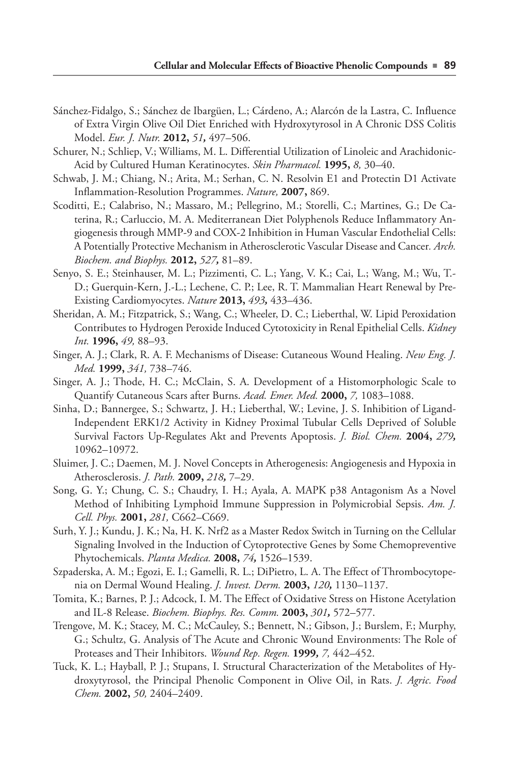- Sánchez-Fidalgo, S.; Sánchez de Ibargüen, L.; Cárdeno, A.; Alarcón de la Lastra, C. Influence of Extra Virgin Olive Oil Diet Enriched with Hydroxytyrosol in A Chronic DSS Colitis Model. *Eur. J. Nutr.* **2012,** *51,* 497–506.
- Schurer, N.; Schliep, V.; Williams, M. L. Differential Utilization of Linoleic and Arachidonic-Acid by Cultured Human Keratinocytes. *Skin Pharmacol.* **1995,** *8,* 30–40.
- Schwab, J. M.; Chiang, N.; Arita, M.; Serhan, C. N. Resolvin E1 and Protectin D1 Activate Inflammation-Resolution Programmes. *Nature,* **2007,** 869.
- Scoditti, E.; Calabriso, N.; Massaro, M.; Pellegrino, M.; Storelli, C.; Martines, G.; De Caterina, R.; Carluccio, M. A. Mediterranean Diet Polyphenols Reduce Inflammatory Angiogenesis through MMP-9 and COX-2 Inhibition in Human Vascular Endothelial Cells: A Potentially Protective Mechanism in Atherosclerotic Vascular Disease and Cancer*. Arch. Biochem. and Biophys.* **2012,** *527,* 81–89.
- Senyo, S. E.; Steinhauser, M. L.; Pizzimenti, C. L.; Yang, V. K.; Cai, L.; Wang, M.; Wu, T.- D.; Guerquin-Kern, J.-L.; Lechene, C. P.; Lee, R. T. Mammalian Heart Renewal by Pre-Existing Cardiomyocytes. *Nature* **2013,** *493,* 433–436.
- Sheridan, A. M.; Fitzpatrick, S.; Wang, C.; Wheeler, D. C.; Lieberthal, W. Lipid Peroxidation Contributes to Hydrogen Peroxide Induced Cytotoxicity in Renal Epithelial Cells. *Kidney Int.* **1996,** *49,* 88–93.
- Singer, A. J.; Clark, R. A. F. Mechanisms of Disease: Cutaneous Wound Healing. *New Eng. J. Med.* **1999,** *341,* 738–746.
- Singer, A. J.; Thode, H. C.; McClain, S. A. Development of a Histomorphologic Scale to Quantify Cutaneous Scars after Burns. *Acad. Emer. Med.* **2000,** *7,* 1083–1088.
- Sinha, D.; Bannergee, S.; Schwartz, J. H.; Lieberthal, W.; Levine, J. S. Inhibition of Ligand-Independent ERK1/2 Activity in Kidney Proximal Tubular Cells Deprived of Soluble Survival Factors Up-Regulates Akt and Prevents Apoptosis. *J. Biol. Chem.* **2004,** *279,*  10962–10972.
- Sluimer, J. C.; Daemen, M. J. Novel Concepts in Atherogenesis: Angiogenesis and Hypoxia in Atherosclerosis. *J. Path.* **2009,** *218,* 7–29.
- Song, G. Y.; Chung, C. S.; Chaudry, I. H.; Ayala, A. MAPK p38 Antagonism As a Novel Method of Inhibiting Lymphoid Immune Suppression in Polymicrobial Sepsis. *Am. J. Cell. Phys.* **2001,** *281,* C662–C669.
- Surh, Y. J.; Kundu, J. K.; Na, H. K. Nrf2 as a Master Redox Switch in Turning on the Cellular Signaling Involved in the Induction of Cytoprotective Genes by Some Chemopreventive Phytochemicals. *Planta Medica.* **2008,** *74,* 1526–1539.
- Szpaderska, A. M.; Egozi, E. I.; Gamelli, R. L.; DiPietro, L. A. The Effect of Thrombocytopenia on Dermal Wound Healing. *J. Invest. Derm.* **2003,** *120,* 1130–1137.
- Tomita, K.; Barnes, P. J.; Adcock, I. M. The Effect of Oxidative Stress on Histone Acetylation and IL-8 Release. *Biochem. Biophys. Res. Comm.* **2003,** *301,* 572–577.
- Trengove, M. K.; Stacey, M. C.; McCauley, S.; Bennett, N.; Gibson, J.; Burslem, F.; Murphy, G.; Schultz, G. Analysis of The Acute and Chronic Wound Environments: The Role of Proteases and Their Inhibitors. *Wound Rep. Regen.* **1999***, 7,* 442–452.
- Tuck, K. L.; Hayball, P. J.; Stupans, I. Structural Characterization of the Metabolites of Hydroxytyrosol, the Principal Phenolic Component in Olive Oil, in Rats. *J. Agric. Food Chem.* **2002,** *50,* 2404–2409.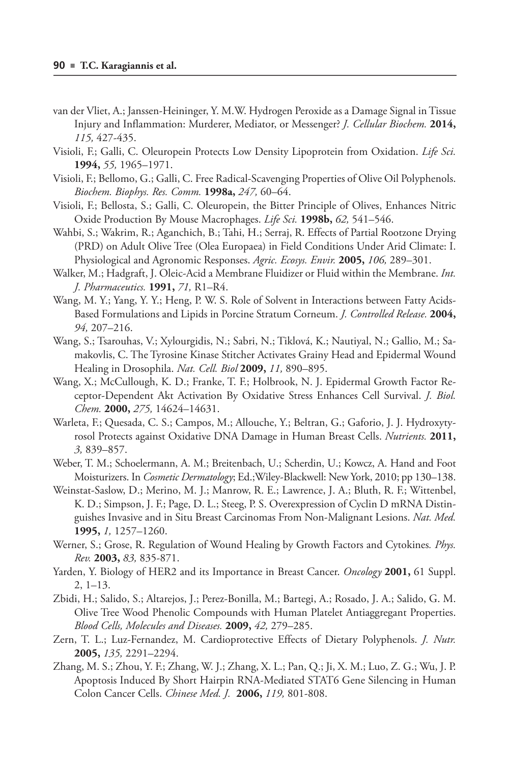- van der Vliet, A.; Janssen-Heininger, Y. M.W. Hydrogen Peroxide as a Damage Signal in Tissue Injury and Inflammation: Murderer, Mediator, or Messenger? *J. Cellular Biochem.* **2014,** *115,* 427-435.
- Visioli, F.; Galli, C. Oleuropein Protects Low Density Lipoprotein from Oxidation. *Life Sci.* **1994,** *55,* 1965–1971.
- Visioli, F.; Bellomo, G.; Galli, C. Free Radical-Scavenging Properties of Olive Oil Polyphenols. *Biochem. Biophys. Res. Comm.* **1998a,** *247,* 60–64.
- Visioli, F.; Bellosta, S.; Galli, C. Oleuropein, the Bitter Principle of Olives, Enhances Nitric Oxide Production By Mouse Macrophages. *Life Sci.* **1998b,** *62,* 541–546.
- Wahbi, S.; Wakrim, R.; Aganchich, B.; Tahi, H.; Serraj, R. Effects of Partial Rootzone Drying (PRD) on Adult Olive Tree (Olea Europaea) in Field Conditions Under Arid Climate: I. Physiological and Agronomic Responses. *Agric. Ecosys. Envir.* **2005,** *106,* 289–301.
- Walker, M.; Hadgraft, J. Oleic-Acid a Membrane Fluidizer or Fluid within the Membrane. *Int. J. Pharmaceutics.* **1991,** *71,* R1–R4.
- Wang, M. Y.; Yang, Y. Y.; Heng, P. W. S. Role of Solvent in Interactions between Fatty Acids-Based Formulations and Lipids in Porcine Stratum Corneum. *J. Controlled Release.* **2004,** *94,* 207–216.
- Wang, S.; Tsarouhas, V.; Xylourgidis, N.; Sabri, N.; Tiklová, K.; Nautiyal, N.; Gallio, M.; Samakovlis, C. The Tyrosine Kinase Stitcher Activates Grainy Head and Epidermal Wound Healing in Drosophila. *Nat. Cell. Biol* **2009,** *11,* 890–895.
- Wang, X.; McCullough, K. D.; Franke, T. F.; Holbrook, N. J. Epidermal Growth Factor Receptor-Dependent Akt Activation By Oxidative Stress Enhances Cell Survival. *J. Biol. Chem.* **2000,** *275,* 14624–14631.
- Warleta, F.; Quesada, C. S.; Campos, M.; Allouche, Y.; Beltran, G.; Gaforio, J. J. Hydroxytyrosol Protects against Oxidative DNA Damage in Human Breast Cells. *Nutrients.* **2011,**  *3,* 839–857.
- Weber, T. M.; Schoelermann, A. M.; Breitenbach, U.; Scherdin, U.; Kowcz, A. Hand and Foot Moisturizers. In *Cosmetic Dermatology*; Ed.;Wiley-Blackwell: New York, 2010; pp 130–138.
- Weinstat-Saslow, D.; Merino, M. J.; Manrow, R. E.; Lawrence, J. A.; Bluth, R. F.; Wittenbel, K. D.; Simpson, J. F.; Page, D. L.; Steeg, P. S. Overexpression of Cyclin D mRNA Distinguishes Invasive and in Situ Breast Carcinomas From Non-Malignant Lesions. *Nat. Med.* **1995,** *1,* 1257–1260.
- Werner, S.; Grose, R. Regulation of Wound Healing by Growth Factors and Cytokines*. Phys. Rev.* **2003,** *83,* 835-871.
- Yarden, Y. Biology of HER2 and its Importance in Breast Cancer. *Oncology* **2001,** 61 Suppl. 2, 1–13.
- Zbidi, H.; Salido, S.; Altarejos, J.; Perez-Bonilla, M.; Bartegi, A.; Rosado, J. A.; Salido, G. M. Olive Tree Wood Phenolic Compounds with Human Platelet Antiaggregant Properties. *Blood Cells, Molecules and Diseases.* **2009,** *42,* 279–285.
- Zern, T. L.; Luz-Fernandez, M. Cardioprotective Effects of Dietary Polyphenols. *J. Nutr.*  **2005,** *135,* 2291–2294.
- Zhang, M. S.; Zhou, Y. F.; Zhang, W. J.; Zhang, X. L.; Pan, Q.; Ji, X. M.; Luo, Z. G.; Wu, J. P. Apoptosis Induced By Short Hairpin RNA-Mediated STAT6 Gene Silencing in Human Colon Cancer Cells. *Chinese Med. J.* **2006,** *119,* 801-808.